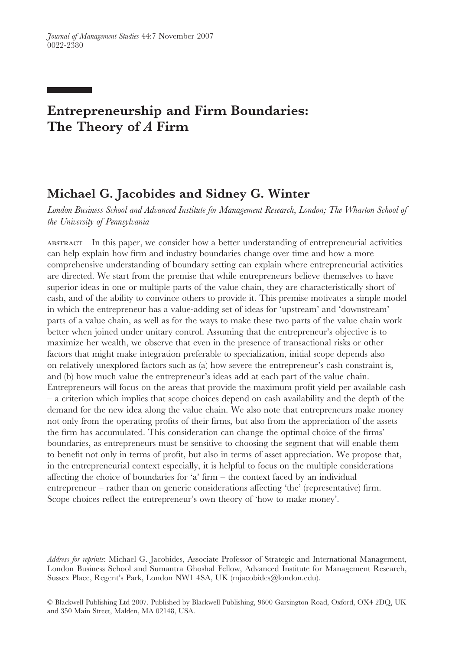# **Entrepreneurship and Firm Boundaries: The Theory of** *A* **Firm**

## **Michael G. Jacobides and Sidney G. Winter**

*London Business School and Advanced Institute for Management Research, London; The Wharton School of the University of Pennsylvania*

abstract In this paper, we consider how a better understanding of entrepreneurial activities can help explain how firm and industry boundaries change over time and how a more comprehensive understanding of boundary setting can explain where entrepreneurial activities are directed. We start from the premise that while entrepreneurs believe themselves to have superior ideas in one or multiple parts of the value chain, they are characteristically short of cash, and of the ability to convince others to provide it. This premise motivates a simple model in which the entrepreneur has a value-adding set of ideas for 'upstream' and 'downstream' parts of a value chain, as well as for the ways to make these two parts of the value chain work better when joined under unitary control. Assuming that the entrepreneur's objective is to maximize her wealth, we observe that even in the presence of transactional risks or other factors that might make integration preferable to specialization, initial scope depends also on relatively unexplored factors such as (a) how severe the entrepreneur's cash constraint is, and (b) how much value the entrepreneur's ideas add at each part of the value chain. Entrepreneurs will focus on the areas that provide the maximum profit yield per available cash – a criterion which implies that scope choices depend on cash availability and the depth of the demand for the new idea along the value chain. We also note that entrepreneurs make money not only from the operating profits of their firms, but also from the appreciation of the assets the firm has accumulated. This consideration can change the optimal choice of the firms' boundaries, as entrepreneurs must be sensitive to choosing the segment that will enable them to benefit not only in terms of profit, but also in terms of asset appreciation. We propose that, in the entrepreneurial context especially, it is helpful to focus on the multiple considerations affecting the choice of boundaries for 'a' firm – the context faced by an individual entrepreneur – rather than on generic considerations affecting 'the' (representative) firm. Scope choices reflect the entrepreneur's own theory of 'how to make money'.

*Address for reprints*: Michael G. Jacobides, Associate Professor of Strategic and International Management, London Business School and Sumantra Ghoshal Fellow, Advanced Institute for Management Research, Sussex Place, Regent's Park, London NW1 4SA, UK ([mjacobides@london.edu](mailto:mjacobides@london.edu)).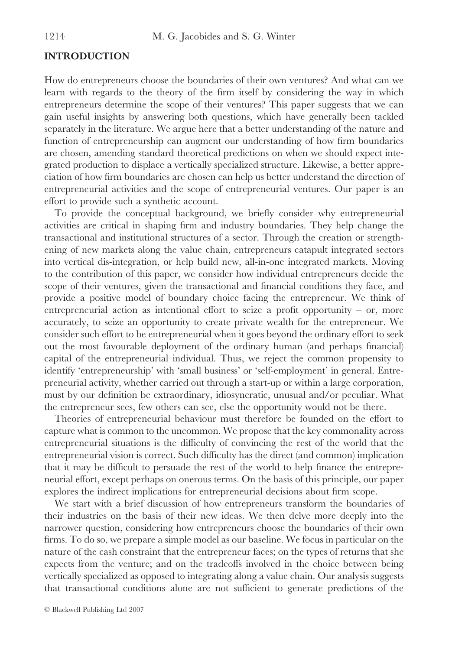#### **INTRODUCTION**

How do entrepreneurs choose the boundaries of their own ventures? And what can we learn with regards to the theory of the firm itself by considering the way in which entrepreneurs determine the scope of their ventures? This paper suggests that we can gain useful insights by answering both questions, which have generally been tackled separately in the literature. We argue here that a better understanding of the nature and function of entrepreneurship can augment our understanding of how firm boundaries are chosen, amending standard theoretical predictions on when we should expect integrated production to displace a vertically specialized structure. Likewise, a better appreciation of how firm boundaries are chosen can help us better understand the direction of entrepreneurial activities and the scope of entrepreneurial ventures. Our paper is an effort to provide such a synthetic account.

To provide the conceptual background, we briefly consider why entrepreneurial activities are critical in shaping firm and industry boundaries. They help change the transactional and institutional structures of a sector. Through the creation or strengthening of new markets along the value chain, entrepreneurs catapult integrated sectors into vertical dis-integration, or help build new, all-in-one integrated markets. Moving to the contribution of this paper, we consider how individual entrepreneurs decide the scope of their ventures, given the transactional and financial conditions they face, and provide a positive model of boundary choice facing the entrepreneur. We think of entrepreneurial action as intentional effort to seize a profit opportunity – or, more accurately, to seize an opportunity to create private wealth for the entrepreneur. We consider such effort to be entrepreneurial when it goes beyond the ordinary effort to seek out the most favourable deployment of the ordinary human (and perhaps financial) capital of the entrepreneurial individual. Thus, we reject the common propensity to identify 'entrepreneurship' with 'small business' or 'self-employment' in general. Entrepreneurial activity, whether carried out through a start-up or within a large corporation, must by our definition be extraordinary, idiosyncratic, unusual and/or peculiar. What the entrepreneur sees, few others can see, else the opportunity would not be there.

Theories of entrepreneurial behaviour must therefore be founded on the effort to capture what is common to the uncommon. We propose that the key commonality across entrepreneurial situations is the difficulty of convincing the rest of the world that the entrepreneurial vision is correct. Such difficulty has the direct (and common) implication that it may be difficult to persuade the rest of the world to help finance the entrepreneurial effort, except perhaps on onerous terms. On the basis of this principle, our paper explores the indirect implications for entrepreneurial decisions about firm scope.

We start with a brief discussion of how entrepreneurs transform the boundaries of their industries on the basis of their new ideas. We then delve more deeply into the narrower question, considering how entrepreneurs choose the boundaries of their own firms. To do so, we prepare a simple model as our baseline. We focus in particular on the nature of the cash constraint that the entrepreneur faces; on the types of returns that she expects from the venture; and on the tradeoffs involved in the choice between being vertically specialized as opposed to integrating along a value chain. Our analysis suggests that transactional conditions alone are not sufficient to generate predictions of the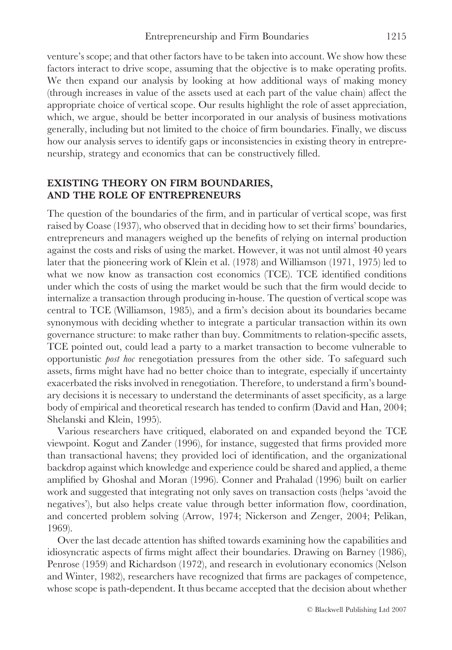venture's scope; and that other factors have to be taken into account. We show how these factors interact to drive scope, assuming that the objective is to make operating profits. We then expand our analysis by looking at how additional ways of making money (through increases in value of the assets used at each part of the value chain) affect the appropriate choice of vertical scope. Our results highlight the role of asset appreciation, which, we argue, should be better incorporated in our analysis of business motivations generally, including but not limited to the choice of firm boundaries. Finally, we discuss how our analysis serves to identify gaps or inconsistencies in existing theory in entrepreneurship, strategy and economics that can be constructively filled.

## **EXISTING THEORY ON FIRM BOUNDARIES, AND THE ROLE OF ENTREPRENEURS**

The question of the boundaries of the firm, and in particular of vertical scope, was first raised by Coase (1937), who observed that in deciding how to set their firms' boundaries, entrepreneurs and managers weighed up the benefits of relying on internal production against the costs and risks of using the market. However, it was not until almost 40 years later that the pioneering work of Klein et al. (1978) and Williamson (1971, 1975) led to what we now know as transaction cost economics (TCE). TCE identified conditions under which the costs of using the market would be such that the firm would decide to internalize a transaction through producing in-house. The question of vertical scope was central to TCE (Williamson, 1985), and a firm's decision about its boundaries became synonymous with deciding whether to integrate a particular transaction within its own governance structure: to make rather than buy. Commitments to relation-specific assets, TCE pointed out, could lead a party to a market transaction to become vulnerable to opportunistic *post hoc* renegotiation pressures from the other side. To safeguard such assets, firms might have had no better choice than to integrate, especially if uncertainty exacerbated the risks involved in renegotiation. Therefore, to understand a firm's boundary decisions it is necessary to understand the determinants of asset specificity, as a large body of empirical and theoretical research has tended to confirm (David and Han, 2004; Shelanski and Klein, 1995).

Various researchers have critiqued, elaborated on and expanded beyond the TCE viewpoint. Kogut and Zander (1996), for instance, suggested that firms provided more than transactional havens; they provided loci of identification, and the organizational backdrop against which knowledge and experience could be shared and applied, a theme amplified by Ghoshal and Moran (1996). Conner and Prahalad (1996) built on earlier work and suggested that integrating not only saves on transaction costs (helps 'avoid the negatives'), but also helps create value through better information flow, coordination, and concerted problem solving (Arrow, 1974; Nickerson and Zenger, 2004; Pelikan, 1969).

Over the last decade attention has shifted towards examining how the capabilities and idiosyncratic aspects of firms might affect their boundaries. Drawing on Barney (1986), Penrose (1959) and Richardson (1972), and research in evolutionary economics (Nelson and Winter, 1982), researchers have recognized that firms are packages of competence, whose scope is path-dependent. It thus became accepted that the decision about whether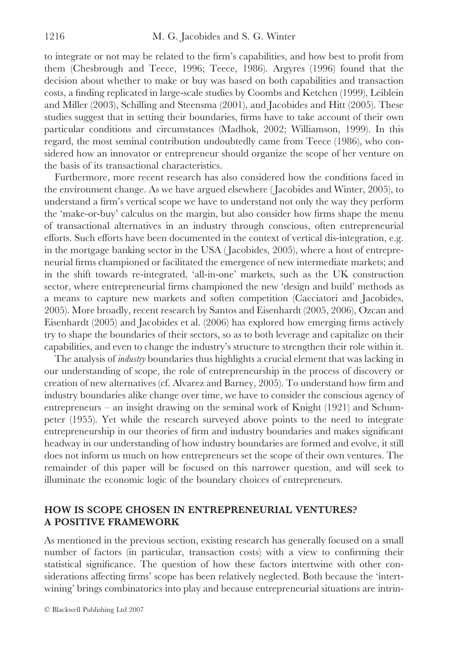to integrate or not may be related to the firm's capabilities, and how best to profit from them (Chesbrough and Teece, 1996; Teece, 1986). Argyres (1996) found that the decision about whether to make or buy was based on both capabilities and transaction costs, a finding replicated in large-scale studies by Coombs and Ketchen (1999), Leiblein and Miller (2003), Schilling and Steensma (2001), and Jacobides and Hitt (2005). These studies suggest that in setting their boundaries, firms have to take account of their own particular conditions and circumstances (Madhok, 2002; Williamson, 1999). In this regard, the most seminal contribution undoubtedly came from Teece (1986), who considered how an innovator or entrepreneur should organize the scope of her venture on the basis of its transactional characteristics.

Furthermore, more recent research has also considered how the conditions faced in the environment change. As we have argued elsewhere ( Jacobides and Winter, 2005), to understand a firm's vertical scope we have to understand not only the way they perform the 'make-or-buy' calculus on the margin, but also consider how firms shape the menu of transactional alternatives in an industry through conscious, often entrepreneurial efforts. Such efforts have been documented in the context of vertical dis-integration, e.g. in the mortgage banking sector in the USA ( Jacobides, 2005), where a host of entrepreneurial firms championed or facilitated the emergence of new intermediate markets; and in the shift towards re-integrated, 'all-in-one' markets, such as the UK construction sector, where entrepreneurial firms championed the new 'design and build' methods as a means to capture new markets and soften competition (Cacciatori and Jacobides, 2005). More broadly, recent research by Santos and Eisenhardt (2005, 2006), Ozcan and Eisenhardt (2005) and Jacobides et al. (2006) has explored how emerging firms actively try to shape the boundaries of their sectors, so as to both leverage and capitalize on their capabilities, and even to change the industry's structure to strengthen their role within it.

The analysis of *industry* boundaries thus highlights a crucial element that was lacking in our understanding of scope, the role of entrepreneurship in the process of discovery or creation of new alternatives (cf. Alvarez and Barney, 2005). To understand how firm and industry boundaries alike change over time, we have to consider the conscious agency of entrepreneurs – an insight drawing on the seminal work of Knight (1921) and Schumpeter (1955). Yet while the research surveyed above points to the need to integrate entrepreneurship in our theories of firm and industry boundaries and makes significant headway in our understanding of how industry boundaries are formed and evolve, it still does not inform us much on how entrepreneurs set the scope of their own ventures. The remainder of this paper will be focused on this narrower question, and will seek to illuminate the economic logic of the boundary choices of entrepreneurs.

## **HOW IS SCOPE CHOSEN IN ENTREPRENEURIAL VENTURES? A POSITIVE FRAMEWORK**

As mentioned in the previous section, existing research has generally focused on a small number of factors (in particular, transaction costs) with a view to confirming their statistical significance. The question of how these factors intertwine with other considerations affecting firms' scope has been relatively neglected. Both because the 'intertwining' brings combinatorics into play and because entrepreneurial situations are intrin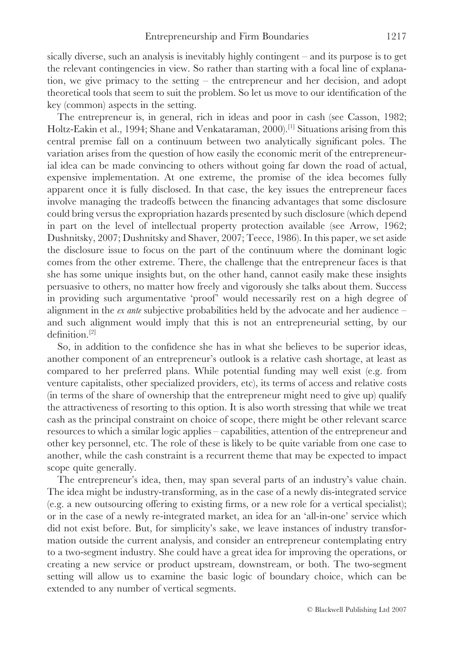sically diverse, such an analysis is inevitably highly contingent – and its purpose is to get the relevant contingencies in view. So rather than starting with a focal line of explanation, we give primacy to the setting – the entrepreneur and her decision, and adopt theoretical tools that seem to suit the problem. So let us move to our identification of the key (common) aspects in the setting.

The entrepreneur is, in general, rich in ideas and poor in cash (see Casson, 1982; Holtz-Eakin et al., 1994; Shane and Venkataraman, 2000).[1] Situations arising from this central premise fall on a continuum between two analytically significant poles. The variation arises from the question of how easily the economic merit of the entrepreneurial idea can be made convincing to others without going far down the road of actual, expensive implementation. At one extreme, the promise of the idea becomes fully apparent once it is fully disclosed. In that case, the key issues the entrepreneur faces involve managing the tradeoffs between the financing advantages that some disclosure could bring versus the expropriation hazards presented by such disclosure (which depend in part on the level of intellectual property protection available (see Arrow, 1962; Dushnitsky, 2007; Dushnitsky and Shaver, 2007; Teece, 1986). In this paper, we set aside the disclosure issue to focus on the part of the continuum where the dominant logic comes from the other extreme. There, the challenge that the entrepreneur faces is that she has some unique insights but, on the other hand, cannot easily make these insights persuasive to others, no matter how freely and vigorously she talks about them. Success in providing such argumentative 'proof' would necessarily rest on a high degree of alignment in the *ex ante* subjective probabilities held by the advocate and her audience – and such alignment would imply that this is not an entrepreneurial setting, by our definition.[2]

So, in addition to the confidence she has in what she believes to be superior ideas, another component of an entrepreneur's outlook is a relative cash shortage, at least as compared to her preferred plans. While potential funding may well exist (e.g. from venture capitalists, other specialized providers, etc), its terms of access and relative costs (in terms of the share of ownership that the entrepreneur might need to give up) qualify the attractiveness of resorting to this option. It is also worth stressing that while we treat cash as the principal constraint on choice of scope, there might be other relevant scarce resources to which a similar logic applies – capabilities, attention of the entrepreneur and other key personnel, etc. The role of these is likely to be quite variable from one case to another, while the cash constraint is a recurrent theme that may be expected to impact scope quite generally.

The entrepreneur's idea, then, may span several parts of an industry's value chain. The idea might be industry-transforming, as in the case of a newly dis-integrated service (e.g. a new outsourcing offering to existing firms, or a new role for a vertical specialist); or in the case of a newly re-integrated market, an idea for an 'all-in-one' service which did not exist before. But, for simplicity's sake, we leave instances of industry transformation outside the current analysis, and consider an entrepreneur contemplating entry to a two-segment industry. She could have a great idea for improving the operations, or creating a new service or product upstream, downstream, or both. The two-segment setting will allow us to examine the basic logic of boundary choice, which can be extended to any number of vertical segments.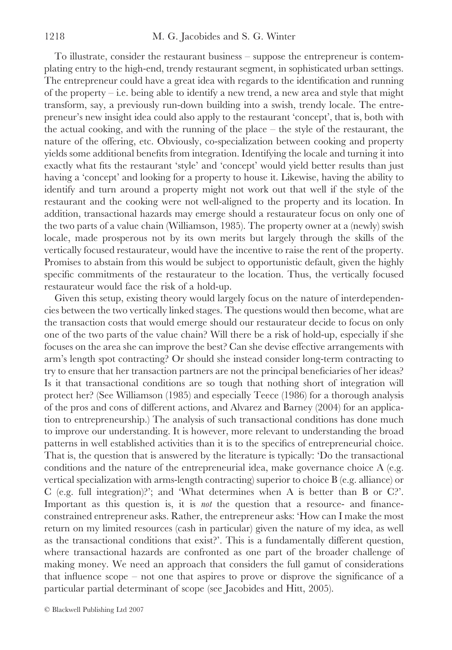To illustrate, consider the restaurant business – suppose the entrepreneur is contemplating entry to the high-end, trendy restaurant segment, in sophisticated urban settings. The entrepreneur could have a great idea with regards to the identification and running of the property – i.e. being able to identify a new trend, a new area and style that might transform, say, a previously run-down building into a swish, trendy locale. The entrepreneur's new insight idea could also apply to the restaurant 'concept', that is, both with the actual cooking, and with the running of the place – the style of the restaurant, the nature of the offering, etc. Obviously, co-specialization between cooking and property yields some additional benefits from integration. Identifying the locale and turning it into exactly what fits the restaurant 'style' and 'concept' would yield better results than just having a 'concept' and looking for a property to house it. Likewise, having the ability to identify and turn around a property might not work out that well if the style of the restaurant and the cooking were not well-aligned to the property and its location. In addition, transactional hazards may emerge should a restaurateur focus on only one of the two parts of a value chain (Williamson, 1985). The property owner at a (newly) swish locale, made prosperous not by its own merits but largely through the skills of the vertically focused restaurateur, would have the incentive to raise the rent of the property. Promises to abstain from this would be subject to opportunistic default, given the highly specific commitments of the restaurateur to the location. Thus, the vertically focused restaurateur would face the risk of a hold-up.

Given this setup, existing theory would largely focus on the nature of interdependencies between the two vertically linked stages. The questions would then become, what are the transaction costs that would emerge should our restaurateur decide to focus on only one of the two parts of the value chain? Will there be a risk of hold-up, especially if she focuses on the area she can improve the best? Can she devise effective arrangements with arm's length spot contracting? Or should she instead consider long-term contracting to try to ensure that her transaction partners are not the principal beneficiaries of her ideas? Is it that transactional conditions are so tough that nothing short of integration will protect her? (See Williamson (1985) and especially Teece (1986) for a thorough analysis of the pros and cons of different actions, and Alvarez and Barney (2004) for an application to entrepreneurship.) The analysis of such transactional conditions has done much to improve our understanding. It is however, more relevant to understanding the broad patterns in well established activities than it is to the specifics of entrepreneurial choice. That is, the question that is answered by the literature is typically: 'Do the transactional conditions and the nature of the entrepreneurial idea, make governance choice A (e.g. vertical specialization with arms-length contracting) superior to choice B (e.g. alliance) or C (e.g. full integration)?'; and 'What determines when A is better than B or C?'. Important as this question is, it is *not* the question that a resource- and financeconstrained entrepreneur asks. Rather, the entrepreneur asks: 'How can I make the most return on my limited resources (cash in particular) given the nature of my idea, as well as the transactional conditions that exist?'. This is a fundamentally different question, where transactional hazards are confronted as one part of the broader challenge of making money. We need an approach that considers the full gamut of considerations that influence scope – not one that aspires to prove or disprove the significance of a particular partial determinant of scope (see Jacobides and Hitt, 2005).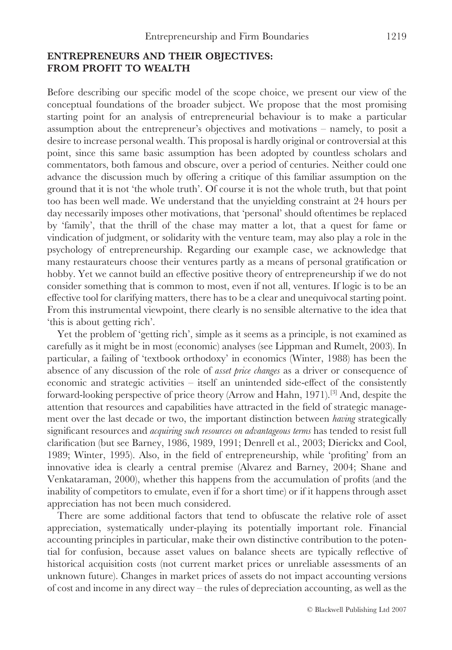## **ENTREPRENEURS AND THEIR OBJECTIVES: FROM PROFIT TO WEALTH**

Before describing our specific model of the scope choice, we present our view of the conceptual foundations of the broader subject. We propose that the most promising starting point for an analysis of entrepreneurial behaviour is to make a particular assumption about the entrepreneur's objectives and motivations – namely, to posit a desire to increase personal wealth. This proposal is hardly original or controversial at this point, since this same basic assumption has been adopted by countless scholars and commentators, both famous and obscure, over a period of centuries. Neither could one advance the discussion much by offering a critique of this familiar assumption on the ground that it is not 'the whole truth'. Of course it is not the whole truth, but that point too has been well made. We understand that the unyielding constraint at 24 hours per day necessarily imposes other motivations, that 'personal' should oftentimes be replaced by 'family', that the thrill of the chase may matter a lot, that a quest for fame or vindication of judgment, or solidarity with the venture team, may also play a role in the psychology of entrepreneurship. Regarding our example case, we acknowledge that many restaurateurs choose their ventures partly as a means of personal gratification or hobby. Yet we cannot build an effective positive theory of entrepreneurship if we do not consider something that is common to most, even if not all, ventures. If logic is to be an effective tool for clarifying matters, there has to be a clear and unequivocal starting point. From this instrumental viewpoint, there clearly is no sensible alternative to the idea that 'this is about getting rich'.

Yet the problem of 'getting rich', simple as it seems as a principle, is not examined as carefully as it might be in most (economic) analyses (see Lippman and Rumelt, 2003). In particular, a failing of 'textbook orthodoxy' in economics (Winter, 1988) has been the absence of any discussion of the role of *asset price changes* as a driver or consequence of economic and strategic activities – itself an unintended side-effect of the consistently forward-looking perspective of price theory (Arrow and Hahn, 1971).[3] And, despite the attention that resources and capabilities have attracted in the field of strategic management over the last decade or two, the important distinction between *having* strategically significant resources and *acquiring such resources on advantageous terms* has tended to resist full clarification (but see Barney, 1986, 1989, 1991; Denrell et al., 2003; Dierickx and Cool, 1989; Winter, 1995). Also, in the field of entrepreneurship, while 'profiting' from an innovative idea is clearly a central premise (Alvarez and Barney, 2004; Shane and Venkataraman, 2000), whether this happens from the accumulation of profits (and the inability of competitors to emulate, even if for a short time) or if it happens through asset appreciation has not been much considered.

There are some additional factors that tend to obfuscate the relative role of asset appreciation, systematically under-playing its potentially important role. Financial accounting principles in particular, make their own distinctive contribution to the potential for confusion, because asset values on balance sheets are typically reflective of historical acquisition costs (not current market prices or unreliable assessments of an unknown future). Changes in market prices of assets do not impact accounting versions of cost and income in any direct way – the rules of depreciation accounting, as well as the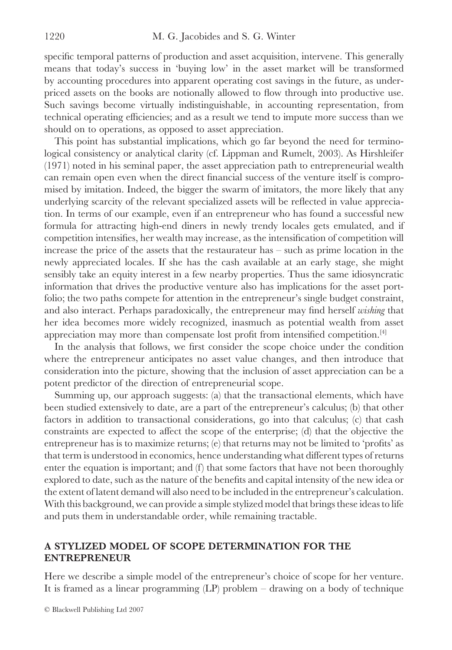specific temporal patterns of production and asset acquisition, intervene. This generally means that today's success in 'buying low' in the asset market will be transformed by accounting procedures into apparent operating cost savings in the future, as underpriced assets on the books are notionally allowed to flow through into productive use. Such savings become virtually indistinguishable, in accounting representation, from technical operating efficiencies; and as a result we tend to impute more success than we should on to operations, as opposed to asset appreciation.

This point has substantial implications, which go far beyond the need for terminological consistency or analytical clarity (cf. Lippman and Rumelt, 2003). As Hirshleifer (1971) noted in his seminal paper, the asset appreciation path to entrepreneurial wealth can remain open even when the direct financial success of the venture itself is compromised by imitation. Indeed, the bigger the swarm of imitators, the more likely that any underlying scarcity of the relevant specialized assets will be reflected in value appreciation. In terms of our example, even if an entrepreneur who has found a successful new formula for attracting high-end diners in newly trendy locales gets emulated, and if competition intensifies, her wealth may increase, as the intensification of competition will increase the price of the assets that the restaurateur has – such as prime location in the newly appreciated locales. If she has the cash available at an early stage, she might sensibly take an equity interest in a few nearby properties. Thus the same idiosyncratic information that drives the productive venture also has implications for the asset portfolio; the two paths compete for attention in the entrepreneur's single budget constraint, and also interact. Perhaps paradoxically, the entrepreneur may find herself *wishing* that her idea becomes more widely recognized, inasmuch as potential wealth from asset appreciation may more than compensate lost profit from intensified competition.<sup>[4]</sup>

In the analysis that follows, we first consider the scope choice under the condition where the entrepreneur anticipates no asset value changes, and then introduce that consideration into the picture, showing that the inclusion of asset appreciation can be a potent predictor of the direction of entrepreneurial scope.

Summing up, our approach suggests: (a) that the transactional elements, which have been studied extensively to date, are a part of the entrepreneur's calculus; (b) that other factors in addition to transactional considerations, go into that calculus; (c) that cash constraints are expected to affect the scope of the enterprise; (d) that the objective the entrepreneur has is to maximize returns; (e) that returns may not be limited to 'profits' as that term is understood in economics, hence understanding what different types of returns enter the equation is important; and (f) that some factors that have not been thoroughly explored to date, such as the nature of the benefits and capital intensity of the new idea or the extent of latent demand will also need to be included in the entrepreneur's calculation. With this background, we can provide a simple stylized model that brings these ideas to life and puts them in understandable order, while remaining tractable.

## **A STYLIZED MODEL OF SCOPE DETERMINATION FOR THE ENTREPRENEUR**

Here we describe a simple model of the entrepreneur's choice of scope for her venture. It is framed as a linear programming (LP) problem – drawing on a body of technique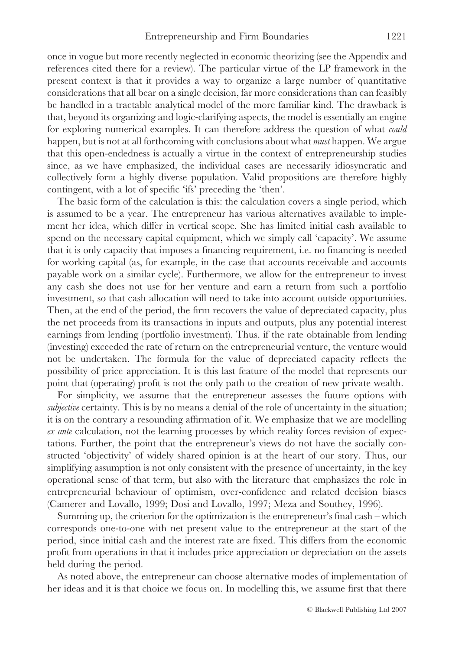once in vogue but more recently neglected in economic theorizing (see the Appendix and references cited there for a review). The particular virtue of the LP framework in the present context is that it provides a way to organize a large number of quantitative considerations that all bear on a single decision, far more considerations than can feasibly be handled in a tractable analytical model of the more familiar kind. The drawback is that, beyond its organizing and logic-clarifying aspects, the model is essentially an engine for exploring numerical examples. It can therefore address the question of what *could* happen, but is not at all forthcoming with conclusions about what *must* happen. We argue that this open-endedness is actually a virtue in the context of entrepreneurship studies since, as we have emphasized, the individual cases are necessarily idiosyncratic and collectively form a highly diverse population. Valid propositions are therefore highly contingent, with a lot of specific 'ifs' preceding the 'then'.

The basic form of the calculation is this: the calculation covers a single period, which is assumed to be a year. The entrepreneur has various alternatives available to implement her idea, which differ in vertical scope. She has limited initial cash available to spend on the necessary capital equipment, which we simply call 'capacity'. We assume that it is only capacity that imposes a financing requirement, i.e. no financing is needed for working capital (as, for example, in the case that accounts receivable and accounts payable work on a similar cycle). Furthermore, we allow for the entrepreneur to invest any cash she does not use for her venture and earn a return from such a portfolio investment, so that cash allocation will need to take into account outside opportunities. Then, at the end of the period, the firm recovers the value of depreciated capacity, plus the net proceeds from its transactions in inputs and outputs, plus any potential interest earnings from lending (portfolio investment). Thus, if the rate obtainable from lending (investing) exceeded the rate of return on the entrepreneurial venture, the venture would not be undertaken. The formula for the value of depreciated capacity reflects the possibility of price appreciation. It is this last feature of the model that represents our point that (operating) profit is not the only path to the creation of new private wealth.

For simplicity, we assume that the entrepreneur assesses the future options with *subjective* certainty. This is by no means a denial of the role of uncertainty in the situation; it is on the contrary a resounding affirmation of it. We emphasize that we are modelling *ex ante* calculation, not the learning processes by which reality forces revision of expectations. Further, the point that the entrepreneur's views do not have the socially constructed 'objectivity' of widely shared opinion is at the heart of our story. Thus, our simplifying assumption is not only consistent with the presence of uncertainty, in the key operational sense of that term, but also with the literature that emphasizes the role in entrepreneurial behaviour of optimism, over-confidence and related decision biases (Camerer and Lovallo, 1999; Dosi and Lovallo, 1997; Meza and Southey, 1996).

Summing up, the criterion for the optimization is the entrepreneur's final cash – which corresponds one-to-one with net present value to the entrepreneur at the start of the period, since initial cash and the interest rate are fixed. This differs from the economic profit from operations in that it includes price appreciation or depreciation on the assets held during the period.

As noted above, the entrepreneur can choose alternative modes of implementation of her ideas and it is that choice we focus on. In modelling this, we assume first that there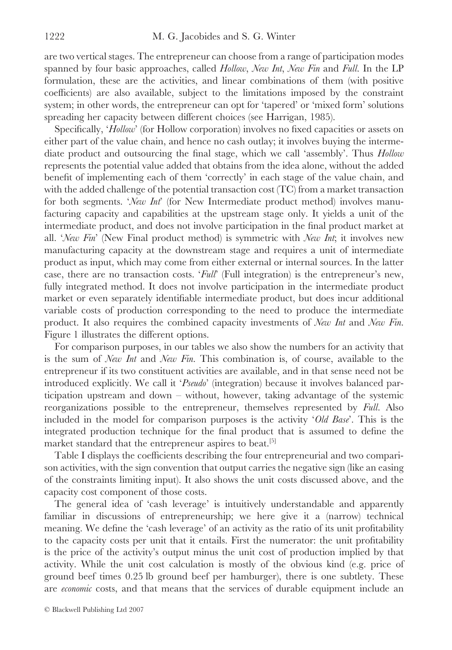are two vertical stages. The entrepreneur can choose from a range of participation modes spanned by four basic approaches, called *Hollow*, *New Int*, *New Fin* and *Full*. In the LP formulation, these are the activities, and linear combinations of them (with positive coefficients) are also available, subject to the limitations imposed by the constraint system; in other words, the entrepreneur can opt for 'tapered' or 'mixed form' solutions spreading her capacity between different choices (see Harrigan, 1985).

Specifically, '*Hollow*' (for Hollow corporation) involves no fixed capacities or assets on either part of the value chain, and hence no cash outlay; it involves buying the intermediate product and outsourcing the final stage, which we call 'assembly'. Thus *Hollow* represents the potential value added that obtains from the idea alone, without the added benefit of implementing each of them 'correctly' in each stage of the value chain, and with the added challenge of the potential transaction cost (TC) from a market transaction for both segments. '*New Int*' (for New Intermediate product method) involves manufacturing capacity and capabilities at the upstream stage only. It yields a unit of the intermediate product, and does not involve participation in the final product market at all. '*New Fin*' (New Final product method) is symmetric with *New Int*; it involves new manufacturing capacity at the downstream stage and requires a unit of intermediate product as input, which may come from either external or internal sources. In the latter case, there are no transaction costs. '*Full*' (Full integration) is the entrepreneur's new, fully integrated method. It does not involve participation in the intermediate product market or even separately identifiable intermediate product, but does incur additional variable costs of production corresponding to the need to produce the intermediate product. It also requires the combined capacity investments of *New Int* and *New Fin*. Figure 1 illustrates the different options.

For comparison purposes, in our tables we also show the numbers for an activity that is the sum of *New Int* and *New Fin*. This combination is, of course, available to the entrepreneur if its two constituent activities are available, and in that sense need not be introduced explicitly. We call it '*Pseudo*' (integration) because it involves balanced participation upstream and down – without, however, taking advantage of the systemic reorganizations possible to the entrepreneur, themselves represented by *Full*. Also included in the model for comparison purposes is the activity '*Old Base*'. This is the integrated production technique for the final product that is assumed to define the market standard that the entrepreneur aspires to beat.<sup>[5]</sup>

Table I displays the coefficients describing the four entrepreneurial and two comparison activities, with the sign convention that output carries the negative sign (like an easing of the constraints limiting input). It also shows the unit costs discussed above, and the capacity cost component of those costs.

The general idea of 'cash leverage' is intuitively understandable and apparently familiar in discussions of entrepreneurship; we here give it a (narrow) technical meaning. We define the 'cash leverage' of an activity as the ratio of its unit profitability to the capacity costs per unit that it entails. First the numerator: the unit profitability is the price of the activity's output minus the unit cost of production implied by that activity. While the unit cost calculation is mostly of the obvious kind (e.g. price of ground beef times 0.25 lb ground beef per hamburger), there is one subtlety. These are *economic* costs, and that means that the services of durable equipment include an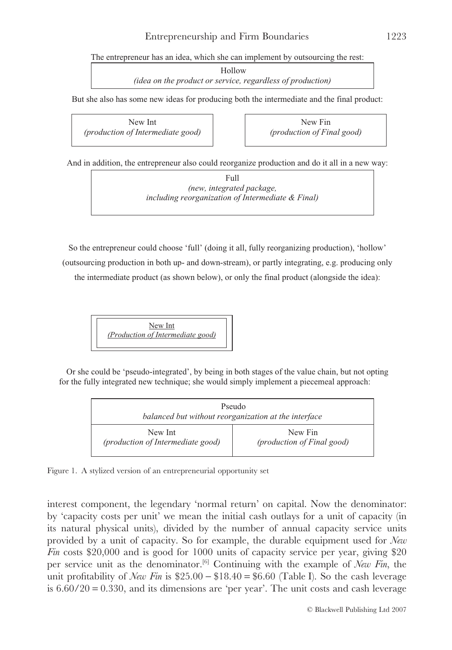## Entrepreneurship and Firm Boundaries 1223

The entrepreneur has an idea, which she can implement by outsourcing the rest:

Hollow

*(idea on the product or service, regardless of production)* 

But she also has some new ideas for producing both the intermediate and the final product:

New Int *(production of Intermediate good)* 

New Fin *(production of Final good)* 

And in addition, the entrepreneur also could reorganize production and do it all in a new way:

Full *(new, integrated package, including reorganization of Intermediate & Final)* 

So the entrepreneur could choose 'full' (doing it all, fully reorganizing production), 'hollow' (outsourcing production in both up- and down-stream), or partly integrating, e.g. producing only the intermediate product (as shown below), or only the final product (alongside the idea):



Or she could be 'pseudo-integrated', by being in both stages of the value chain, but not opting for the fully integrated new technique; she would simply implement a piecemeal approach:

| Pseudo<br>balanced but without reorganization at the interface |                                   |  |  |  |
|----------------------------------------------------------------|-----------------------------------|--|--|--|
| New Int                                                        | New Fin                           |  |  |  |
| (production of Intermediate good)                              | <i>(production of Final good)</i> |  |  |  |

Figure 1. A stylized version of an entrepreneurial opportunity set

interest component, the legendary 'normal return' on capital. Now the denominator: by 'capacity costs per unit' we mean the initial cash outlays for a unit of capacity (in its natural physical units), divided by the number of annual capacity service units provided by a unit of capacity. So for example, the durable equipment used for *New Fin* costs \$20,000 and is good for 1000 units of capacity service per year, giving \$20 per service unit as the denominator.[6] Continuing with the example of *New Fin*, the unit profitability of *New Fin* is  $$25.00 - $18.40 = $6.60$  (Table I). So the cash leverage is  $6.60/20 = 0.330$ , and its dimensions are 'per year'. The unit costs and cash leverage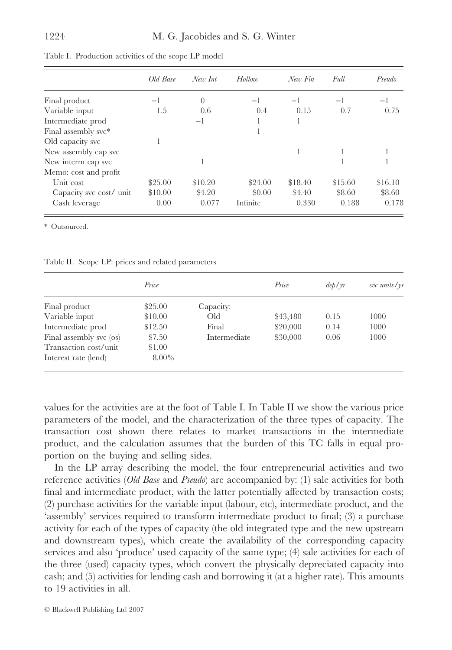|                         | Old Base | New Int  | Hollow        | New Fin | Full    | Pseudo  |
|-------------------------|----------|----------|---------------|---------|---------|---------|
| Final product           | $-1$     | $\Omega$ | $-\mathsf{I}$ | $-1$    | $-1$    | - 1     |
| Variable input          | 1.5      | 0.6      | 0.4           | 0.15    | 0.7     | 0.75    |
| Intermediate prod       |          | $-1$     |               |         |         |         |
| Final assembly svc*     |          |          |               |         |         |         |
| Old capacity svc        |          |          |               |         |         |         |
| New assembly cap svc    |          |          |               |         |         |         |
| New interm cap svc      |          |          |               |         |         |         |
| Memo: cost and profit   |          |          |               |         |         |         |
| Unit cost               | \$25.00  | \$10.20  | \$24.00       | \$18.40 | \$15.60 | \$16.10 |
| Capacity svc cost/ unit | \$10.00  | \$4.20   | \$0.00        | \$4.40  | \$8.60  | \$8.60  |
| Cash leverage           | 0.00     | 0.077    | Infinite      | 0.330   | 0.188   | 0.178   |

Table I. Production activities of the scope LP model

\* Outsourced.

Table II. Scope LP: prices and related parameters

|                         | Price    |              | Price    | dep/yr | svc units/yr |
|-------------------------|----------|--------------|----------|--------|--------------|
| Final product           | \$25.00  | Capacity:    |          |        |              |
| Variable input          | \$10.00  | Old          | \$43,480 | 0.15   | 1000         |
| Intermediate prod       | \$12.50  | Final        | \$20,000 | 0.14   | 1000         |
| Final assembly svc (os) | \$7.50   | Intermediate | \$30,000 | 0.06   | 1000         |
| Transaction cost/unit   | \$1.00   |              |          |        |              |
| Interest rate (lend)    | $8.00\%$ |              |          |        |              |

values for the activities are at the foot of Table I. In Table II we show the various price parameters of the model, and the characterization of the three types of capacity. The transaction cost shown there relates to market transactions in the intermediate product, and the calculation assumes that the burden of this TC falls in equal proportion on the buying and selling sides.

In the LP array describing the model, the four entrepreneurial activities and two reference activities (*Old Base* and *Pseudo*) are accompanied by: (1) sale activities for both final and intermediate product, with the latter potentially affected by transaction costs; (2) purchase activities for the variable input (labour, etc), intermediate product, and the 'assembly' services required to transform intermediate product to final; (3) a purchase activity for each of the types of capacity (the old integrated type and the new upstream and downstream types), which create the availability of the corresponding capacity services and also 'produce' used capacity of the same type; (4) sale activities for each of the three (used) capacity types, which convert the physically depreciated capacity into cash; and (5) activities for lending cash and borrowing it (at a higher rate). This amounts to 19 activities in all.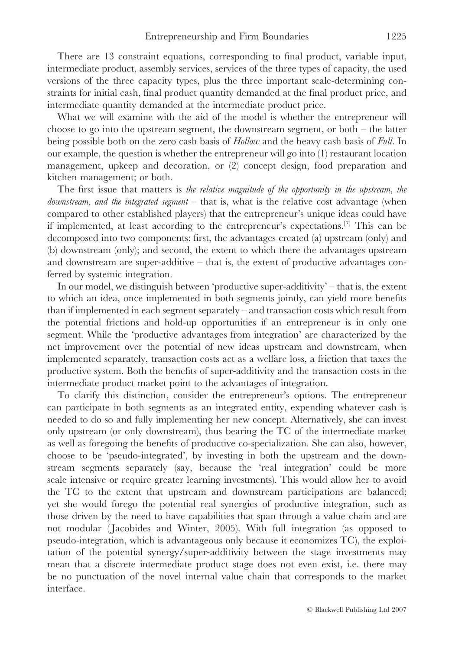There are 13 constraint equations, corresponding to final product, variable input, intermediate product, assembly services, services of the three types of capacity, the used versions of the three capacity types, plus the three important scale-determining constraints for initial cash, final product quantity demanded at the final product price, and intermediate quantity demanded at the intermediate product price.

What we will examine with the aid of the model is whether the entrepreneur will choose to go into the upstream segment, the downstream segment, or both – the latter being possible both on the zero cash basis of *Hollow* and the heavy cash basis of *Full*. In our example, the question is whether the entrepreneur will go into (1) restaurant location management, upkeep and decoration, or (2) concept design, food preparation and kitchen management; or both.

The first issue that matters is *the relative magnitude of the opportunity in the upstream, the downstream, and the integrated segment* – that is, what is the relative cost advantage (when compared to other established players) that the entrepreneur's unique ideas could have if implemented, at least according to the entrepreneur's expectations.[7] This can be decomposed into two components: first, the advantages created (a) upstream (only) and (b) downstream (only); and second, the extent to which there the advantages upstream and downstream are super-additive – that is, the extent of productive advantages conferred by systemic integration.

In our model, we distinguish between 'productive super-additivity' – that is, the extent to which an idea, once implemented in both segments jointly, can yield more benefits than if implemented in each segment separately – and transaction costs which result from the potential frictions and hold-up opportunities if an entrepreneur is in only one segment. While the 'productive advantages from integration' are characterized by the net improvement over the potential of new ideas upstream and downstream, when implemented separately, transaction costs act as a welfare loss, a friction that taxes the productive system. Both the benefits of super-additivity and the transaction costs in the intermediate product market point to the advantages of integration.

To clarify this distinction, consider the entrepreneur's options. The entrepreneur can participate in both segments as an integrated entity, expending whatever cash is needed to do so and fully implementing her new concept. Alternatively, she can invest only upstream (or only downstream), thus bearing the TC of the intermediate market as well as foregoing the benefits of productive co-specialization. She can also, however, choose to be 'pseudo-integrated', by investing in both the upstream and the downstream segments separately (say, because the 'real integration' could be more scale intensive or require greater learning investments). This would allow her to avoid the TC to the extent that upstream and downstream participations are balanced; yet she would forego the potential real synergies of productive integration, such as those driven by the need to have capabilities that span through a value chain and are not modular (Jacobides and Winter, 2005). With full integration (as opposed to pseudo-integration, which is advantageous only because it economizes TC), the exploitation of the potential synergy/super-additivity between the stage investments may mean that a discrete intermediate product stage does not even exist, i.e. there may be no punctuation of the novel internal value chain that corresponds to the market interface.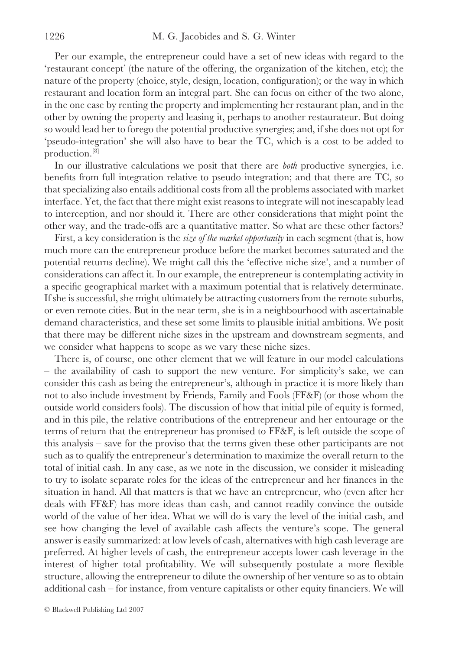Per our example, the entrepreneur could have a set of new ideas with regard to the 'restaurant concept' (the nature of the offering, the organization of the kitchen, etc); the nature of the property (choice, style, design, location, configuration); or the way in which restaurant and location form an integral part. She can focus on either of the two alone, in the one case by renting the property and implementing her restaurant plan, and in the other by owning the property and leasing it, perhaps to another restaurateur. But doing so would lead her to forego the potential productive synergies; and, if she does not opt for 'pseudo-integration' she will also have to bear the TC, which is a cost to be added to production.[8]

In our illustrative calculations we posit that there are *both* productive synergies, i.e. benefits from full integration relative to pseudo integration; and that there are TC, so that specializing also entails additional costs from all the problems associated with market interface. Yet, the fact that there might exist reasons to integrate will not inescapably lead to interception, and nor should it. There are other considerations that might point the other way, and the trade-offs are a quantitative matter. So what are these other factors?

First, a key consideration is the *size of the market opportunity* in each segment (that is, how much more can the entrepreneur produce before the market becomes saturated and the potential returns decline). We might call this the 'effective niche size', and a number of considerations can affect it. In our example, the entrepreneur is contemplating activity in a specific geographical market with a maximum potential that is relatively determinate. If she is successful, she might ultimately be attracting customers from the remote suburbs, or even remote cities. But in the near term, she is in a neighbourhood with ascertainable demand characteristics, and these set some limits to plausible initial ambitions. We posit that there may be different niche sizes in the upstream and downstream segments, and we consider what happens to scope as we vary these niche sizes.

There is, of course, one other element that we will feature in our model calculations – the availability of cash to support the new venture. For simplicity's sake, we can consider this cash as being the entrepreneur's, although in practice it is more likely than not to also include investment by Friends, Family and Fools (FF&F) (or those whom the outside world considers fools). The discussion of how that initial pile of equity is formed, and in this pile, the relative contributions of the entrepreneur and her entourage or the terms of return that the entrepreneur has promised to FF&F, is left outside the scope of this analysis – save for the proviso that the terms given these other participants are not such as to qualify the entrepreneur's determination to maximize the overall return to the total of initial cash. In any case, as we note in the discussion, we consider it misleading to try to isolate separate roles for the ideas of the entrepreneur and her finances in the situation in hand. All that matters is that we have an entrepreneur, who (even after her deals with FF&F) has more ideas than cash, and cannot readily convince the outside world of the value of her idea. What we will do is vary the level of the initial cash, and see how changing the level of available cash affects the venture's scope. The general answer is easily summarized: at low levels of cash, alternatives with high cash leverage are preferred. At higher levels of cash, the entrepreneur accepts lower cash leverage in the interest of higher total profitability. We will subsequently postulate a more flexible structure, allowing the entrepreneur to dilute the ownership of her venture so as to obtain additional cash – for instance, from venture capitalists or other equity financiers. We will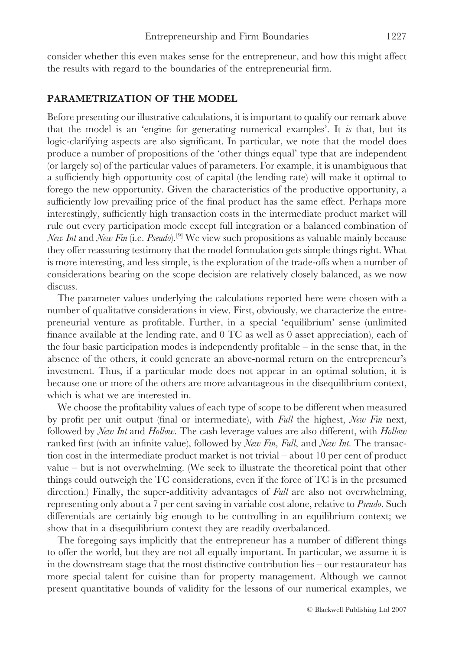consider whether this even makes sense for the entrepreneur, and how this might affect the results with regard to the boundaries of the entrepreneurial firm.

#### **PARAMETRIZATION OF THE MODEL**

Before presenting our illustrative calculations, it is important to qualify our remark above that the model is an 'engine for generating numerical examples'. It *is* that, but its logic-clarifying aspects are also significant. In particular, we note that the model does produce a number of propositions of the 'other things equal' type that are independent (or largely so) of the particular values of parameters. For example, it is unambiguous that a sufficiently high opportunity cost of capital (the lending rate) will make it optimal to forego the new opportunity. Given the characteristics of the productive opportunity, a sufficiently low prevailing price of the final product has the same effect. Perhaps more interestingly, sufficiently high transaction costs in the intermediate product market will rule out every participation mode except full integration or a balanced combination of *New Int* and *New Fin* (i.e. *Pseudo*).[9] We view such propositions as valuable mainly because they offer reassuring testimony that the model formulation gets simple things right. What is more interesting, and less simple, is the exploration of the trade-offs when a number of considerations bearing on the scope decision are relatively closely balanced, as we now discuss.

The parameter values underlying the calculations reported here were chosen with a number of qualitative considerations in view. First, obviously, we characterize the entrepreneurial venture as profitable. Further, in a special 'equilibrium' sense (unlimited finance available at the lending rate, and 0 TC as well as 0 asset appreciation), each of the four basic participation modes is independently profitable  $-$  in the sense that, in the absence of the others, it could generate an above-normal return on the entrepreneur's investment. Thus, if a particular mode does not appear in an optimal solution, it is because one or more of the others are more advantageous in the disequilibrium context, which is what we are interested in.

We choose the profitability values of each type of scope to be different when measured by profit per unit output (final or intermediate), with *Full* the highest, *New Fin* next, followed by *New Int* and *Hollow*. The cash leverage values are also different, with *Hollow* ranked first (with an infinite value), followed by *New Fin, Full*, and *New Int*. The transaction cost in the intermediate product market is not trivial – about 10 per cent of product value – but is not overwhelming. (We seek to illustrate the theoretical point that other things could outweigh the TC considerations, even if the force of TC is in the presumed direction.) Finally, the super-additivity advantages of *Full* are also not overwhelming, representing only about a 7 per cent saving in variable cost alone, relative to *Pseudo*. Such differentials are certainly big enough to be controlling in an equilibrium context; we show that in a disequilibrium context they are readily overbalanced.

The foregoing says implicitly that the entrepreneur has a number of different things to offer the world, but they are not all equally important. In particular, we assume it is in the downstream stage that the most distinctive contribution lies – our restaurateur has more special talent for cuisine than for property management. Although we cannot present quantitative bounds of validity for the lessons of our numerical examples, we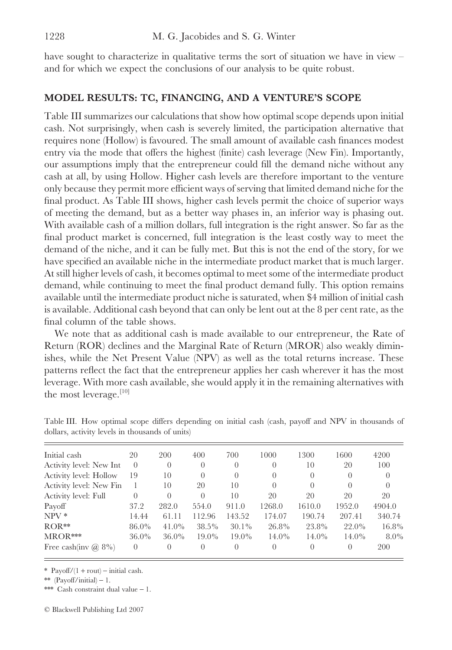have sought to characterize in qualitative terms the sort of situation we have in view – and for which we expect the conclusions of our analysis to be quite robust.

#### **MODEL RESULTS: TC, FINANCING, AND A VENTURE'S SCOPE**

Table III summarizes our calculations that show how optimal scope depends upon initial cash. Not surprisingly, when cash is severely limited, the participation alternative that requires none (Hollow) is favoured. The small amount of available cash finances modest entry via the mode that offers the highest (finite) cash leverage (New Fin). Importantly, our assumptions imply that the entrepreneur could fill the demand niche without any cash at all, by using Hollow. Higher cash levels are therefore important to the venture only because they permit more efficient ways of serving that limited demand niche for the final product. As Table III shows, higher cash levels permit the choice of superior ways of meeting the demand, but as a better way phases in, an inferior way is phasing out. With available cash of a million dollars, full integration is the right answer. So far as the final product market is concerned, full integration is the least costly way to meet the demand of the niche, and it can be fully met. But this is not the end of the story, for we have specified an available niche in the intermediate product market that is much larger. At still higher levels of cash, it becomes optimal to meet some of the intermediate product demand, while continuing to meet the final product demand fully. This option remains available until the intermediate product niche is saturated, when \$4 million of initial cash is available. Additional cash beyond that can only be lent out at the 8 per cent rate, as the final column of the table shows.

We note that as additional cash is made available to our entrepreneur, the Rate of Return (ROR) declines and the Marginal Rate of Return (MROR) also weakly diminishes, while the Net Present Value (NPV) as well as the total returns increase. These patterns reflect the fact that the entrepreneur applies her cash wherever it has the most leverage. With more cash available, she would apply it in the remaining alternatives with the most leverage.<sup>[10]</sup>

| Initial cash            | 20       | 200      | 400              | 700      | 1000     | 1300     | 1600             | 4200    |
|-------------------------|----------|----------|------------------|----------|----------|----------|------------------|---------|
| Activity level: New Int | $\Omega$ | 0        | $\theta$         | 0        | $\Omega$ | 10       | 20               | 100     |
| Activity level: Hollow  | 19       | 10       | $\left( \right)$ | $\Omega$ | $\Omega$ | $\Omega$ | $\left( \right)$ |         |
| Activity level: New Fin |          | 10       | 20               | 10       | $\Omega$ | $\Omega$ | $\Omega$         |         |
| Activity level: Full    | $\Omega$ | $\Omega$ | $\Omega$         | 10       | 20       | 20       | 20               | 20      |
| Payoff                  | 37.2     | 282.0    | 554.0            | 911.0    | 1268.0   | 1610.0   | 1952.0           | 4904.0  |
| $NPV *$                 | 14.44    | 61.11    | 112.96           | 143.52   | 174.07   | 190.74   | 207.41           | 340.74  |
| $ROR**$                 | 86.0%    | 41.0%    | 38.5%            | $30.1\%$ | 26.8%    | 23.8%    | 22.0%            | 16.8%   |
| MROR***                 | 36.0%    | $36.0\%$ | 19.0%            | 19.0%    | $14.0\%$ | $14.0\%$ | 14.0%            | $8.0\%$ |
| Free cash(inv $(a)$ 8%) | $\Omega$ | $\Omega$ | $\theta$         | 0        | 0        | $\Omega$ | 0                | 200     |

Table III. How optimal scope differs depending on initial cash (cash, payoff and NPV in thousands of dollars, activity levels in thousands of units)

\* Payoff/ $(1 + \text{rout})$  - initial cash.

\*\*  $(Pavoff/initial) - 1$ .

\*\*\* Cash constraint dual value  $-1$ .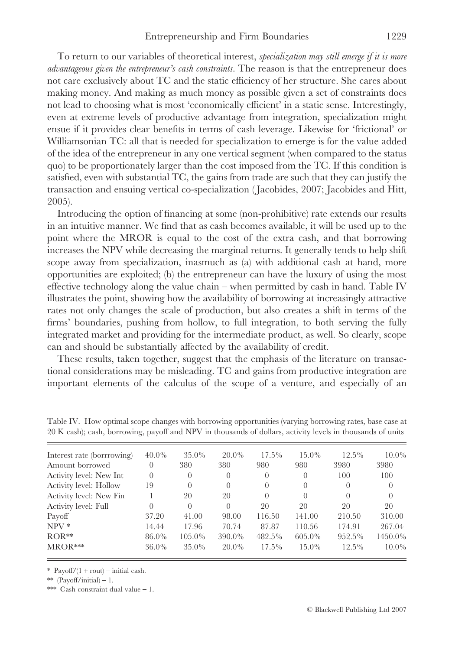To return to our variables of theoretical interest, *specialization may still emerge if it is more advantageous given the entrepreneur's cash constraints.* The reason is that the entrepreneur does not care exclusively about TC and the static efficiency of her structure. She cares about making money. And making as much money as possible given a set of constraints does not lead to choosing what is most 'economically efficient' in a static sense. Interestingly, even at extreme levels of productive advantage from integration, specialization might ensue if it provides clear benefits in terms of cash leverage. Likewise for 'frictional' or Williamsonian TC: all that is needed for specialization to emerge is for the value added of the idea of the entrepreneur in any one vertical segment (when compared to the status quo) to be proportionately larger than the cost imposed from the TC. If this condition is satisfied, even with substantial TC, the gains from trade are such that they can justify the transaction and ensuing vertical co-specialization ( Jacobides, 2007; Jacobides and Hitt, 2005).

Introducing the option of financing at some (non-prohibitive) rate extends our results in an intuitive manner. We find that as cash becomes available, it will be used up to the point where the MROR is equal to the cost of the extra cash, and that borrowing increases the NPV while decreasing the marginal returns. It generally tends to help shift scope away from specialization, inasmuch as (a) with additional cash at hand, more opportunities are exploited; (b) the entrepreneur can have the luxury of using the most effective technology along the value chain – when permitted by cash in hand. Table IV illustrates the point, showing how the availability of borrowing at increasingly attractive rates not only changes the scale of production, but also creates a shift in terms of the firms' boundaries, pushing from hollow, to full integration, to both serving the fully integrated market and providing for the intermediate product, as well. So clearly, scope can and should be substantially affected by the availability of credit.

These results, taken together, suggest that the emphasis of the literature on transactional considerations may be misleading. TC and gains from productive integration are important elements of the calculus of the scope of a venture, and especially of an

| Interest rate (borrrowing) | $40.0\%$         | 35.0%     | 20.0%            | $17.5\%$         | 15.0%            | $12.5\%$ | $10.0\%$ |
|----------------------------|------------------|-----------|------------------|------------------|------------------|----------|----------|
| Amount borrowed            | $\left( \right)$ | 380       | 380              | 980              | 980              | 3980     | 3980     |
| Activity level: New Int    | $\Omega$         | 0         | $\left( \right)$ | $\left( \right)$ | $\left( \right)$ | 100      | 100      |
| Activity level: Hollow     | 19               | $\Omega$  | $\Omega$         | $\theta$         | $\Omega$         | $\Omega$ |          |
| Activity level: New Fin    |                  | 20        | 20               | $\Omega$         | $\left( \right)$ | $\Omega$ |          |
| Activity level: Full       | 0                | $\Omega$  | $\Omega$         | 20               | 20               | 20       | 20       |
| Payoff                     | 37.20            | 41.00     | 98.00            | 116.50           | 141.00           | 210.50   | 310.00   |
| $NPV*$                     | 14.44            | 17.96     | 70.74            | 87.87            | 110.56           | 174.91   | 267.04   |
| $ROR**$                    | 86.0%            | $105.0\%$ | 390.0%           | 482.5%           | 605.0%           | 952.5%   | 1450.0%  |
| MROR***                    | $36.0\%$         | 35.0%     | $20.0\%$         | $17.5\%$         | 15.0%            | $12.5\%$ | $10.0\%$ |
|                            |                  |           |                  |                  |                  |          |          |

Table IV. How optimal scope changes with borrowing opportunities (varying borrowing rates, base case at 20 K cash); cash, borrowing, payoff and NPV in thousands of dollars, activity levels in thousands of units

\* Payoff/ $(1 + \text{rout})$  - initial cash.

\*\*  $(Payoff/initial) - 1$ .

\*\*\* Cash constraint dual value  $-1$ .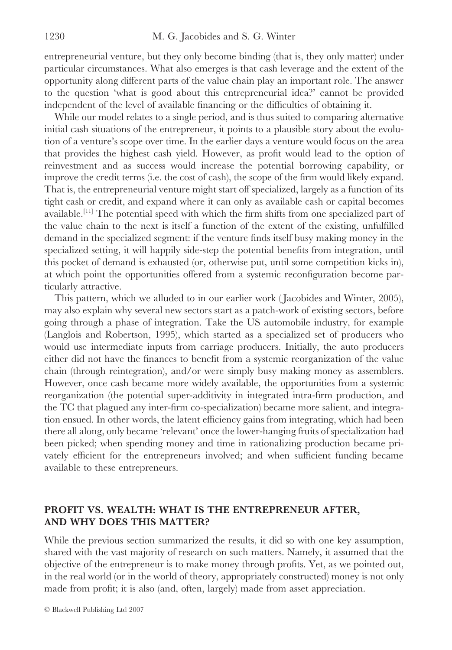entrepreneurial venture, but they only become binding (that is, they only matter) under particular circumstances. What also emerges is that cash leverage and the extent of the opportunity along different parts of the value chain play an important role. The answer to the question 'what is good about this entrepreneurial idea?' cannot be provided independent of the level of available financing or the difficulties of obtaining it.

While our model relates to a single period, and is thus suited to comparing alternative initial cash situations of the entrepreneur, it points to a plausible story about the evolution of a venture's scope over time. In the earlier days a venture would focus on the area that provides the highest cash yield. However, as profit would lead to the option of reinvestment and as success would increase the potential borrowing capability, or improve the credit terms (i.e. the cost of cash), the scope of the firm would likely expand. That is, the entrepreneurial venture might start off specialized, largely as a function of its tight cash or credit, and expand where it can only as available cash or capital becomes available.[11] The potential speed with which the firm shifts from one specialized part of the value chain to the next is itself a function of the extent of the existing, unfulfilled demand in the specialized segment: if the venture finds itself busy making money in the specialized setting, it will happily side-step the potential benefits from integration, until this pocket of demand is exhausted (or, otherwise put, until some competition kicks in), at which point the opportunities offered from a systemic reconfiguration become particularly attractive.

This pattern, which we alluded to in our earlier work (Jacobides and Winter, 2005), may also explain why several new sectors start as a patch-work of existing sectors, before going through a phase of integration. Take the US automobile industry, for example (Langlois and Robertson, 1995), which started as a specialized set of producers who would use intermediate inputs from carriage producers. Initially, the auto producers either did not have the finances to benefit from a systemic reorganization of the value chain (through reintegration), and/or were simply busy making money as assemblers. However, once cash became more widely available, the opportunities from a systemic reorganization (the potential super-additivity in integrated intra-firm production, and the TC that plagued any inter-firm co-specialization) became more salient, and integration ensued. In other words, the latent efficiency gains from integrating, which had been there all along, only became 'relevant' once the lower-hanging fruits of specialization had been picked; when spending money and time in rationalizing production became privately efficient for the entrepreneurs involved; and when sufficient funding became available to these entrepreneurs.

## **PROFIT VS. WEALTH: WHAT IS THE ENTREPRENEUR AFTER, AND WHY DOES THIS MATTER?**

While the previous section summarized the results, it did so with one key assumption, shared with the vast majority of research on such matters. Namely, it assumed that the objective of the entrepreneur is to make money through profits. Yet, as we pointed out, in the real world (or in the world of theory, appropriately constructed) money is not only made from profit; it is also (and, often, largely) made from asset appreciation.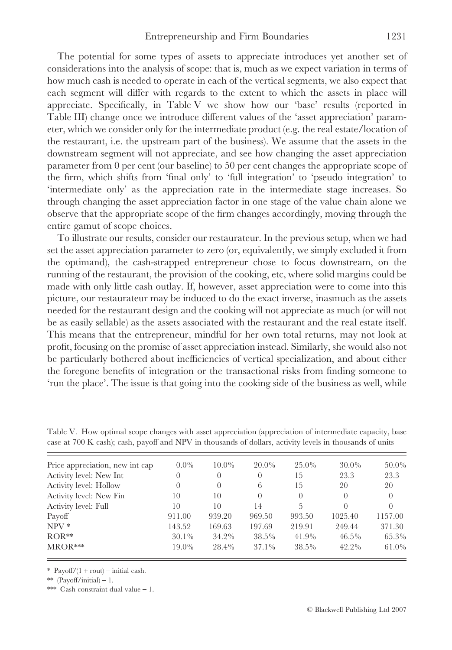The potential for some types of assets to appreciate introduces yet another set of considerations into the analysis of scope: that is, much as we expect variation in terms of how much cash is needed to operate in each of the vertical segments, we also expect that each segment will differ with regards to the extent to which the assets in place will appreciate. Specifically, in Table V we show how our 'base' results (reported in Table III) change once we introduce different values of the 'asset appreciation' parameter, which we consider only for the intermediate product (e.g. the real estate/location of the restaurant, i.e. the upstream part of the business). We assume that the assets in the downstream segment will not appreciate, and see how changing the asset appreciation parameter from 0 per cent (our baseline) to 50 per cent changes the appropriate scope of the firm, which shifts from 'final only' to 'full integration' to 'pseudo integration' to 'intermediate only' as the appreciation rate in the intermediate stage increases. So through changing the asset appreciation factor in one stage of the value chain alone we observe that the appropriate scope of the firm changes accordingly, moving through the entire gamut of scope choices.

To illustrate our results, consider our restaurateur. In the previous setup, when we had set the asset appreciation parameter to zero (or, equivalently, we simply excluded it from the optimand), the cash-strapped entrepreneur chose to focus downstream, on the running of the restaurant, the provision of the cooking, etc, where solid margins could be made with only little cash outlay. If, however, asset appreciation were to come into this picture, our restaurateur may be induced to do the exact inverse, inasmuch as the assets needed for the restaurant design and the cooking will not appreciate as much (or will not be as easily sellable) as the assets associated with the restaurant and the real estate itself. This means that the entrepreneur, mindful for her own total returns, may not look at profit, focusing on the promise of asset appreciation instead. Similarly, she would also not be particularly bothered about inefficiencies of vertical specialization, and about either the foregone benefits of integration or the transactional risks from finding someone to 'run the place'. The issue is that going into the cooking side of the business as well, while

| Price appreciation, new int cap | $0.0\%$          | $10.0\%$         | $20.0\%$ | $25.0\%$ | $30.0\%$ | 50.0%   |
|---------------------------------|------------------|------------------|----------|----------|----------|---------|
| Activity level: New Int         |                  | $\left( \right)$ | $\theta$ | 15       | 23.3     | 23.3    |
| Activity level: Hollow          | $\left( \right)$ | $\Omega$         | 6        | 15       | 20       | 20      |
| Activity level: New Fin         | 10               | 10               | $\Omega$ | $\theta$ | $\Omega$ |         |
| Activity level: Full            | 10               | 10               | 14       | 5        | $\Omega$ |         |
| Payoff                          | 911.00           | 939.20           | 969.50   | 993.50   | 1025.40  | 1157.00 |
| $NPV*$                          | 143.52           | 169.63           | 197.69   | 219.91   | 249.44   | 371.30  |
| $ROR**$                         | $30.1\%$         | 34.2%            | $38.5\%$ | 41.9%    | $46.5\%$ | 65.3%   |
| MROR***                         | 19.0%            | 28.4%            | $37.1\%$ | $38.5\%$ | $42.2\%$ | 61.0%   |
|                                 |                  |                  |          |          |          |         |

Table V. How optimal scope changes with asset appreciation (appreciation of intermediate capacity, base case at 700 K cash); cash, payoff and NPV in thousands of dollars, activity levels in thousands of units

\* Payoff/ $(1 + \text{rout})$  - initial cash.

<sup>\*\*</sup>  $(Payoff/initial) - 1$ .

<sup>\*\*\*</sup> Cash constraint dual value  $-1$ .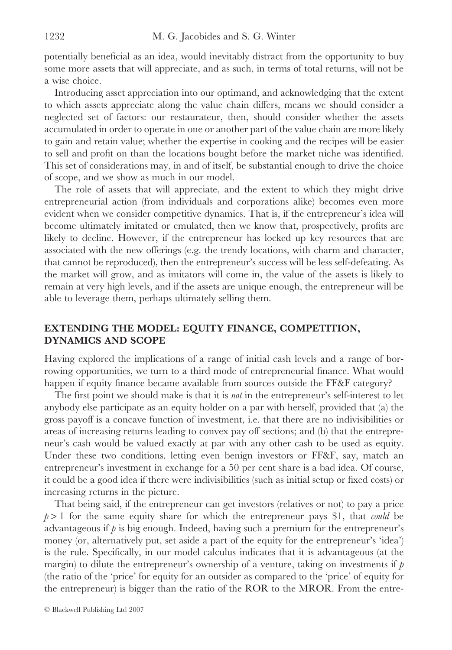potentially beneficial as an idea, would inevitably distract from the opportunity to buy some more assets that will appreciate, and as such, in terms of total returns, will not be a wise choice.

Introducing asset appreciation into our optimand, and acknowledging that the extent to which assets appreciate along the value chain differs, means we should consider a neglected set of factors: our restaurateur, then, should consider whether the assets accumulated in order to operate in one or another part of the value chain are more likely to gain and retain value; whether the expertise in cooking and the recipes will be easier to sell and profit on than the locations bought before the market niche was identified. This set of considerations may, in and of itself, be substantial enough to drive the choice of scope, and we show as much in our model.

The role of assets that will appreciate, and the extent to which they might drive entrepreneurial action (from individuals and corporations alike) becomes even more evident when we consider competitive dynamics. That is, if the entrepreneur's idea will become ultimately imitated or emulated, then we know that, prospectively, profits are likely to decline. However, if the entrepreneur has locked up key resources that are associated with the new offerings (e.g. the trendy locations, with charm and character, that cannot be reproduced), then the entrepreneur's success will be less self-defeating. As the market will grow, and as imitators will come in, the value of the assets is likely to remain at very high levels, and if the assets are unique enough, the entrepreneur will be able to leverage them, perhaps ultimately selling them.

## **EXTENDING THE MODEL: EQUITY FINANCE, COMPETITION, DYNAMICS AND SCOPE**

Having explored the implications of a range of initial cash levels and a range of borrowing opportunities, we turn to a third mode of entrepreneurial finance. What would happen if equity finance became available from sources outside the FF&F category?

The first point we should make is that it is *not* in the entrepreneur's self-interest to let anybody else participate as an equity holder on a par with herself, provided that (a) the gross payoff is a concave function of investment, i.e. that there are no indivisibilities or areas of increasing returns leading to convex pay off sections; and (b) that the entrepreneur's cash would be valued exactly at par with any other cash to be used as equity. Under these two conditions, letting even benign investors or FF&F, say, match an entrepreneur's investment in exchange for a 50 per cent share is a bad idea. Of course, it could be a good idea if there were indivisibilities (such as initial setup or fixed costs) or increasing returns in the picture.

That being said, if the entrepreneur can get investors (relatives or not) to pay a price *p* > 1 for the same equity share for which the entrepreneur pays \$1, that *could* be advantageous if  $\phi$  is big enough. Indeed, having such a premium for the entrepreneur's money (or, alternatively put, set aside a part of the equity for the entrepreneur's 'idea') is the rule. Specifically, in our model calculus indicates that it is advantageous (at the margin) to dilute the entrepreneur's ownership of a venture, taking on investments if *p* (the ratio of the 'price' for equity for an outsider as compared to the 'price' of equity for the entrepreneur) is bigger than the ratio of the ROR to the MROR. From the entre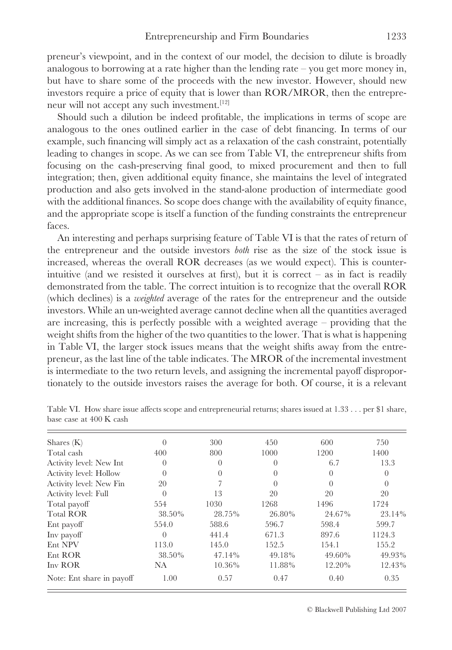preneur's viewpoint, and in the context of our model, the decision to dilute is broadly analogous to borrowing at a rate higher than the lending rate – you get more money in, but have to share some of the proceeds with the new investor. However, should new investors require a price of equity that is lower than ROR/MROR, then the entrepreneur will not accept any such investment.[12]

Should such a dilution be indeed profitable, the implications in terms of scope are analogous to the ones outlined earlier in the case of debt financing. In terms of our example, such financing will simply act as a relaxation of the cash constraint, potentially leading to changes in scope. As we can see from Table VI, the entrepreneur shifts from focusing on the cash-preserving final good, to mixed procurement and then to full integration; then, given additional equity finance, she maintains the level of integrated production and also gets involved in the stand-alone production of intermediate good with the additional finances. So scope does change with the availability of equity finance, and the appropriate scope is itself a function of the funding constraints the entrepreneur faces.

An interesting and perhaps surprising feature of Table VI is that the rates of return of the entrepreneur and the outside investors *both* rise as the size of the stock issue is increased, whereas the overall ROR decreases (as we would expect). This is counterintuitive (and we resisted it ourselves at first), but it is correct – as in fact is readily demonstrated from the table. The correct intuition is to recognize that the overall ROR (which declines) is a *weighted* average of the rates for the entrepreneur and the outside investors. While an un-weighted average cannot decline when all the quantities averaged are increasing, this is perfectly possible with a weighted average – providing that the weight shifts from the higher of the two quantities to the lower. That is what is happening in Table VI, the larger stock issues means that the weight shifts away from the entrepreneur, as the last line of the table indicates. The MROR of the incremental investment is intermediate to the two return levels, and assigning the incremental payoff disproportionately to the outside investors raises the average for both. Of course, it is a relevant

| Shares $(K)$              | $\overline{0}$ | 300              | 450              | 600              | 750      |
|---------------------------|----------------|------------------|------------------|------------------|----------|
| Total cash                | 400            | 800              | 1000             | 1200             | 1400     |
| Activity level: New Int   | $\theta$       |                  |                  | 6.7              | 13.3     |
| Activity level: Hollow    | $\theta$       | $\left( \right)$ | $\left( \right)$ | $\left( \right)$ | $\Omega$ |
| Activity level: New Fin   | 20             |                  |                  | $\Omega$         | $\Omega$ |
| Activity level: Full      | $\theta$       | 13               | 20               | 20               | 20       |
| Total payoff              | 554            | 1030             | 1268             | 1496             | 1724     |
| <b>Total ROR</b>          | 38.50%         | 28.75%           | 26.80%           | 24.67%           | 23.14%   |
| Ent payoff                | 554.0          | 588.6            | 596.7            | 598.4            | 599.7    |
| Inv payoff                | $\theta$       | 441.4            | 671.3            | 897.6            | 1124.3   |
| Ent NPV                   | 113.0          | 145.0            | 152.5            | 154.1            | 155.2    |
| Ent ROR                   | 38.50%         | 47.14%           | 49.18%           | 49.60%           | 49.93%   |
| $Inv$ ROR                 | NA             | 10.36%           | 11.88%           | 12.20%           | 12.43%   |
| Note: Ent share in payoff | 1.00           | 0.57             | 0.47             | 0.40             | 0.35     |
|                           |                |                  |                  |                  |          |

Table VI. How share issue affects scope and entrepreneurial returns; shares issued at 1.33 . . . per \$1 share, base case at 400 K cash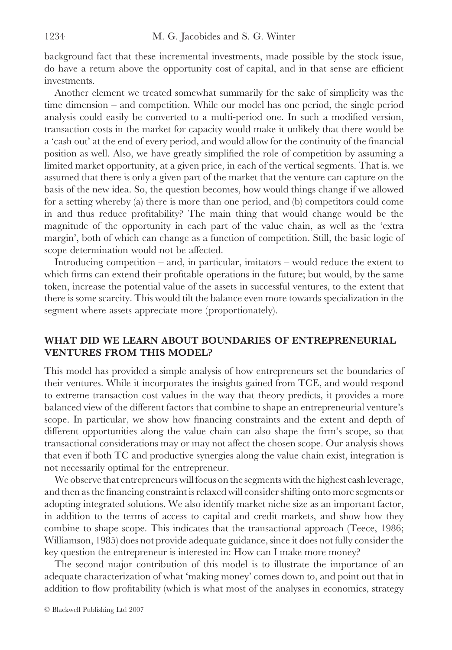background fact that these incremental investments, made possible by the stock issue, do have a return above the opportunity cost of capital, and in that sense are efficient investments.

Another element we treated somewhat summarily for the sake of simplicity was the time dimension – and competition. While our model has one period, the single period analysis could easily be converted to a multi-period one. In such a modified version, transaction costs in the market for capacity would make it unlikely that there would be a 'cash out' at the end of every period, and would allow for the continuity of the financial position as well. Also, we have greatly simplified the role of competition by assuming a limited market opportunity, at a given price, in each of the vertical segments. That is, we assumed that there is only a given part of the market that the venture can capture on the basis of the new idea. So, the question becomes, how would things change if we allowed for a setting whereby (a) there is more than one period, and (b) competitors could come in and thus reduce profitability? The main thing that would change would be the magnitude of the opportunity in each part of the value chain, as well as the 'extra margin', both of which can change as a function of competition. Still, the basic logic of scope determination would not be affected.

Introducing competition – and, in particular, imitators – would reduce the extent to which firms can extend their profitable operations in the future; but would, by the same token, increase the potential value of the assets in successful ventures, to the extent that there is some scarcity. This would tilt the balance even more towards specialization in the segment where assets appreciate more (proportionately).

#### **WHAT DID WE LEARN ABOUT BOUNDARIES OF ENTREPRENEURIAL VENTURES FROM THIS MODEL?**

This model has provided a simple analysis of how entrepreneurs set the boundaries of their ventures. While it incorporates the insights gained from TCE, and would respond to extreme transaction cost values in the way that theory predicts, it provides a more balanced view of the different factors that combine to shape an entrepreneurial venture's scope. In particular, we show how financing constraints and the extent and depth of different opportunities along the value chain can also shape the firm's scope, so that transactional considerations may or may not affect the chosen scope. Our analysis shows that even if both TC and productive synergies along the value chain exist, integration is not necessarily optimal for the entrepreneur.

We observe that entrepreneurs will focus on the segments with the highest cash leverage, and then as the financing constraint is relaxed will consider shifting onto more segments or adopting integrated solutions. We also identify market niche size as an important factor, in addition to the terms of access to capital and credit markets, and show how they combine to shape scope. This indicates that the transactional approach (Teece, 1986; Williamson, 1985) does not provide adequate guidance, since it does not fully consider the key question the entrepreneur is interested in: How can I make more money?

The second major contribution of this model is to illustrate the importance of an adequate characterization of what 'making money' comes down to, and point out that in addition to flow profitability (which is what most of the analyses in economics, strategy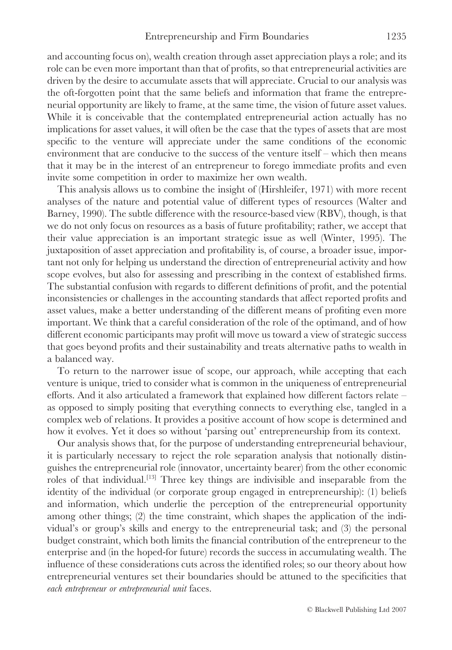and accounting focus on), wealth creation through asset appreciation plays a role; and its role can be even more important than that of profits, so that entrepreneurial activities are driven by the desire to accumulate assets that will appreciate. Crucial to our analysis was the oft-forgotten point that the same beliefs and information that frame the entrepreneurial opportunity are likely to frame, at the same time, the vision of future asset values. While it is conceivable that the contemplated entrepreneurial action actually has no implications for asset values, it will often be the case that the types of assets that are most specific to the venture will appreciate under the same conditions of the economic environment that are conducive to the success of the venture itself – which then means that it may be in the interest of an entrepreneur to forego immediate profits and even invite some competition in order to maximize her own wealth.

This analysis allows us to combine the insight of (Hirshleifer, 1971) with more recent analyses of the nature and potential value of different types of resources (Walter and Barney, 1990). The subtle difference with the resource-based view (RBV), though, is that we do not only focus on resources as a basis of future profitability; rather, we accept that their value appreciation is an important strategic issue as well (Winter, 1995). The juxtaposition of asset appreciation and profitability is, of course, a broader issue, important not only for helping us understand the direction of entrepreneurial activity and how scope evolves, but also for assessing and prescribing in the context of established firms. The substantial confusion with regards to different definitions of profit, and the potential inconsistencies or challenges in the accounting standards that affect reported profits and asset values, make a better understanding of the different means of profiting even more important. We think that a careful consideration of the role of the optimand, and of how different economic participants may profit will move us toward a view of strategic success that goes beyond profits and their sustainability and treats alternative paths to wealth in a balanced way.

To return to the narrower issue of scope, our approach, while accepting that each venture is unique, tried to consider what is common in the uniqueness of entrepreneurial efforts. And it also articulated a framework that explained how different factors relate – as opposed to simply positing that everything connects to everything else, tangled in a complex web of relations. It provides a positive account of how scope is determined and how it evolves. Yet it does so without 'parsing out' entrepreneurship from its context.

Our analysis shows that, for the purpose of understanding entrepreneurial behaviour, it is particularly necessary to reject the role separation analysis that notionally distinguishes the entrepreneurial role (innovator, uncertainty bearer) from the other economic roles of that individual.[13] Three key things are indivisible and inseparable from the identity of the individual (or corporate group engaged in entrepreneurship): (1) beliefs and information, which underlie the perception of the entrepreneurial opportunity among other things; (2) the time constraint, which shapes the application of the individual's or group's skills and energy to the entrepreneurial task; and (3) the personal budget constraint, which both limits the financial contribution of the entrepreneur to the enterprise and (in the hoped-for future) records the success in accumulating wealth. The influence of these considerations cuts across the identified roles; so our theory about how entrepreneurial ventures set their boundaries should be attuned to the specificities that *each entrepreneur or entrepreneurial unit* faces.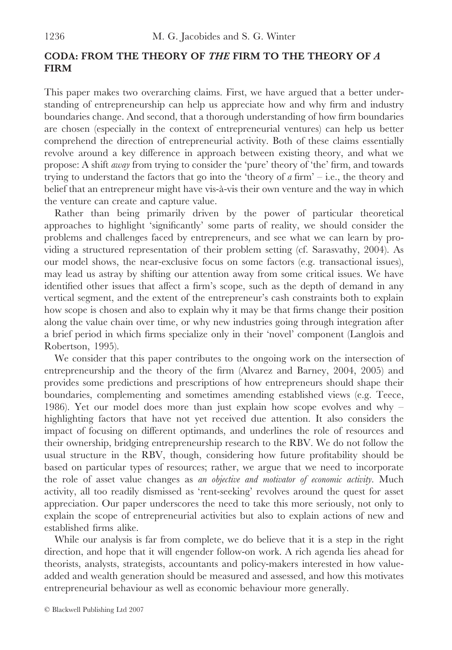## **CODA: FROM THE THEORY OF** *THE* **FIRM TO THE THEORY OF** *A* **FIRM**

This paper makes two overarching claims. First, we have argued that a better understanding of entrepreneurship can help us appreciate how and why firm and industry boundaries change. And second, that a thorough understanding of how firm boundaries are chosen (especially in the context of entrepreneurial ventures) can help us better comprehend the direction of entrepreneurial activity. Both of these claims essentially revolve around a key difference in approach between existing theory, and what we propose: A shift *away* from trying to consider the 'pure' theory of 'the' firm, and towards trying to understand the factors that go into the 'theory of *a* firm' – i.e., the theory and belief that an entrepreneur might have vis-à-vis their own venture and the way in which the venture can create and capture value.

Rather than being primarily driven by the power of particular theoretical approaches to highlight 'significantly' some parts of reality, we should consider the problems and challenges faced by entrepreneurs, and see what we can learn by providing a structured representation of their problem setting (cf. Sarasvathy, 2004). As our model shows, the near-exclusive focus on some factors (e.g. transactional issues), may lead us astray by shifting our attention away from some critical issues. We have identified other issues that affect a firm's scope, such as the depth of demand in any vertical segment, and the extent of the entrepreneur's cash constraints both to explain how scope is chosen and also to explain why it may be that firms change their position along the value chain over time, or why new industries going through integration after a brief period in which firms specialize only in their 'novel' component (Langlois and Robertson, 1995).

We consider that this paper contributes to the ongoing work on the intersection of entrepreneurship and the theory of the firm (Alvarez and Barney, 2004, 2005) and provides some predictions and prescriptions of how entrepreneurs should shape their boundaries, complementing and sometimes amending established views (e.g. Teece, 1986). Yet our model does more than just explain how scope evolves and why – highlighting factors that have not yet received due attention. It also considers the impact of focusing on different optimands, and underlines the role of resources and their ownership, bridging entrepreneurship research to the RBV. We do not follow the usual structure in the RBV, though, considering how future profitability should be based on particular types of resources; rather, we argue that we need to incorporate the role of asset value changes as *an objective and motivator of economic activity.* Much activity, all too readily dismissed as 'rent-seeking' revolves around the quest for asset appreciation. Our paper underscores the need to take this more seriously, not only to explain the scope of entrepreneurial activities but also to explain actions of new and established firms alike.

While our analysis is far from complete, we do believe that it is a step in the right direction, and hope that it will engender follow-on work. A rich agenda lies ahead for theorists, analysts, strategists, accountants and policy-makers interested in how valueadded and wealth generation should be measured and assessed, and how this motivates entrepreneurial behaviour as well as economic behaviour more generally.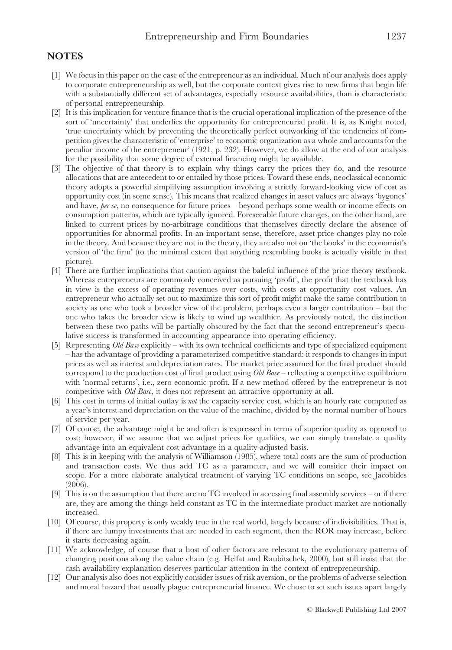#### **NOTES**

- [1] We focus in this paper on the case of the entrepreneur as an individual. Much of our analysis does apply to corporate entrepreneurship as well, but the corporate context gives rise to new firms that begin life with a substantially different set of advantages, especially resource availabilities, than is characteristic of personal entrepreneurship.
- [2] It is this implication for venture finance that is the crucial operational implication of the presence of the sort of 'uncertainty' that underlies the opportunity for entrepreneurial profit. It is, as Knight noted, 'true uncertainty which by preventing the theoretically perfect outworking of the tendencies of competition gives the characteristic of 'enterprise' to economic organization as a whole and accounts for the peculiar income of the entrepreneur' (1921, p. 232). However, we do allow at the end of our analysis for the possibility that some degree of external financing might be available.
- [3] The objective of that theory is to explain why things carry the prices they do, and the resource allocations that are antecedent to or entailed by those prices. Toward these ends, neoclassical economic theory adopts a powerful simplifying assumption involving a strictly forward-looking view of cost as opportunity cost (in some sense). This means that realized changes in asset values are always 'bygones' and have, *per se*, no consequence for future prices – beyond perhaps some wealth or income effects on consumption patterns, which are typically ignored. Foreseeable future changes, on the other hand, are linked to current prices by no-arbitrage conditions that themselves directly declare the absence of opportunities for abnormal profits. In an important sense, therefore, asset price changes play no role in the theory. And because they are not in the theory, they are also not on 'the books' in the economist's version of 'the firm' (to the minimal extent that anything resembling books is actually visible in that picture).
- [4] There are further implications that caution against the baleful influence of the price theory textbook. Whereas entrepreneurs are commonly conceived as pursuing 'profit', the profit that the textbook has in view is the excess of operating revenues over costs, with costs at opportunity cost values. An entrepreneur who actually set out to maximize this sort of profit might make the same contribution to society as one who took a broader view of the problem, perhaps even a larger contribution – but the one who takes the broader view is likely to wind up wealthier. As previously noted, the distinction between these two paths will be partially obscured by the fact that the second entrepreneur's speculative success is transformed in accounting appearance into operating efficiency.
- [5] Representing *Old Base* explicitly with its own technical coefficients and type of specialized equipment – has the advantage of providing a parameterized competitive standard: it responds to changes in input prices as well as interest and depreciation rates. The market price assumed for the final product should correspond to the production cost of final product using *Old Base* – reflecting a competitive equilibrium with 'normal returns', i.e., zero economic profit. If a new method offered by the entrepreneur is not competitive with *Old Base*, it does not represent an attractive opportunity at all.
- [6] This cost in terms of initial outlay is *not* the capacity service cost, which is an hourly rate computed as a year's interest and depreciation on the value of the machine, divided by the normal number of hours of service per year.
- [7] Of course, the advantage might be and often is expressed in terms of superior quality as opposed to cost; however, if we assume that we adjust prices for qualities, we can simply translate a quality advantage into an equivalent cost advantage in a quality-adjusted basis.
- [8] This is in keeping with the analysis of Williamson (1985), where total costs are the sum of production and transaction costs. We thus add TC as a parameter, and we will consider their impact on scope. For a more elaborate analytical treatment of varying TC conditions on scope, see Jacobides (2006).
- [9] This is on the assumption that there are no TC involved in accessing final assembly services or if there are, they are among the things held constant as TC in the intermediate product market are notionally increased.
- [10] Of course, this property is only weakly true in the real world, largely because of indivisibilities. That is, if there are lumpy investments that are needed in each segment, then the ROR may increase, before it starts decreasing again.
- [11] We acknowledge, of course that a host of other factors are relevant to the evolutionary patterns of changing positions along the value chain (e.g. Helfat and Raubitschek, 2000), but still insist that the cash availability explanation deserves particular attention in the context of entrepreneurship.
- [12] Our analysis also does not explicitly consider issues of risk aversion, or the problems of adverse selection and moral hazard that usually plague entrepreneurial finance. We chose to set such issues apart largely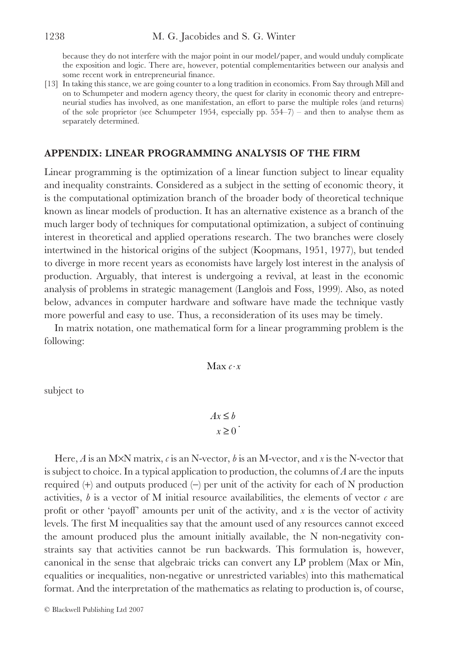because they do not interfere with the major point in our model/paper, and would unduly complicate the exposition and logic. There are, however, potential complementarities between our analysis and some recent work in entrepreneurial finance.

[13] In taking this stance, we are going counter to a long tradition in economics. From Say through Mill and on to Schumpeter and modern agency theory, the quest for clarity in economic theory and entrepreneurial studies has involved, as one manifestation, an effort to parse the multiple roles (and returns) of the sole proprietor (see Schumpeter 1954, especially pp.  $554-7$ ) – and then to analyse them as separately determined.

#### **APPENDIX: LINEAR PROGRAMMING ANALYSIS OF THE FIRM**

Linear programming is the optimization of a linear function subject to linear equality and inequality constraints. Considered as a subject in the setting of economic theory, it is the computational optimization branch of the broader body of theoretical technique known as linear models of production. It has an alternative existence as a branch of the much larger body of techniques for computational optimization, a subject of continuing interest in theoretical and applied operations research. The two branches were closely intertwined in the historical origins of the subject (Koopmans, 1951, 1977), but tended to diverge in more recent years as economists have largely lost interest in the analysis of production. Arguably, that interest is undergoing a revival, at least in the economic analysis of problems in strategic management (Langlois and Foss, 1999). Also, as noted below, advances in computer hardware and software have made the technique vastly more powerful and easy to use. Thus, a reconsideration of its uses may be timely.

In matrix notation, one mathematical form for a linear programming problem is the following:

#### Max *c x*⋅

subject to

$$
Ax \leq b
$$

$$
x \geq 0
$$

Here, *A* is an M $\times$ N matrix, *c* is an N-vector, *b* is an M-vector, and *x* is the N-vector that is subject to choice. In a typical application to production, the columns of *A* are the inputs required  $(+)$  and outputs produced  $(-)$  per unit of the activity for each of N production activities,  $b$  is a vector of M initial resource availabilities, the elements of vector  $c$  are profit or other 'payoff' amounts per unit of the activity, and *x* is the vector of activity levels. The first M inequalities say that the amount used of any resources cannot exceed the amount produced plus the amount initially available, the N non-negativity constraints say that activities cannot be run backwards. This formulation is, however, canonical in the sense that algebraic tricks can convert any LP problem (Max or Min, equalities or inequalities, non-negative or unrestricted variables) into this mathematical format. And the interpretation of the mathematics as relating to production is, of course,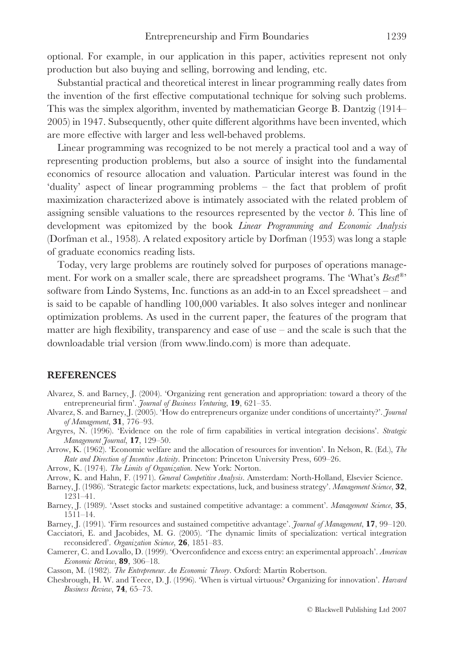optional. For example, in our application in this paper, activities represent not only production but also buying and selling, borrowing and lending, etc.

Substantial practical and theoretical interest in linear programming really dates from the invention of the first effective computational technique for solving such problems. This was the simplex algorithm, invented by mathematician George B. Dantzig (1914– 2005) in 1947. Subsequently, other quite different algorithms have been invented, which are more effective with larger and less well-behaved problems.

Linear programming was recognized to be not merely a practical tool and a way of representing production problems, but also a source of insight into the fundamental economics of resource allocation and valuation. Particular interest was found in the 'duality' aspect of linear programming problems – the fact that problem of profit maximization characterized above is intimately associated with the related problem of assigning sensible valuations to the resources represented by the vector *b*. This line of development was epitomized by the book *Linear Programming and Economic Analysis* (Dorfman et al., 1958). A related expository article by Dorfman (1953) was long a staple of graduate economics reading lists.

Today, very large problems are routinely solved for purposes of operations management. For work on a smaller scale, there are spreadsheet programs. The 'What's *Best*! ®' software from Lindo Systems, Inc. functions as an add-in to an Excel spreadsheet – and is said to be capable of handling 100,000 variables. It also solves integer and nonlinear optimization problems. As used in the current paper, the features of the program that matter are high flexibility, transparency and ease of use  $-$  and the scale is such that the downloadable trial version (from [www.lindo.com\)](http://www.lindo.com) is more than adequate.

#### **REFERENCES**

- Alvarez, S. and Barney, J. (2004). 'Organizing rent generation and appropriation: toward a theory of the entrepreneurial firm'. *Journal of Business Venturing*, **19**, 621–35.
- Alvarez, S. and Barney, J. (2005). 'How do entrepreneurs organize under conditions of uncertainty?'. *Journal of Management*, **31**, 776–93.
- Argyres, N. (1996). 'Evidence on the role of firm capabilities in vertical integration decisions'. *Strategic Management Journal*, **17**, 129–50.
- Arrow, K. (1962). 'Economic welfare and the allocation of resources for invention'. In Nelson, R. (Ed.), *The Rate and Direction of Inventive Activity*. Princeton: Princeton University Press, 609–26.
- Arrow, K. (1974). *The Limits of Organization*. New York: Norton.
- Arrow, K. and Hahn, F. (1971). *General Competitive Analysis*. Amsterdam: North-Holland, Elsevier Science.
- Barney, J. (1986). 'Strategic factor markets: expectations, luck, and business strategy'. *Management Science*, **32**, 1231–41.
- Barney, J. (1989). 'Asset stocks and sustained competitive advantage: a comment'. *Management Science*, **35**, 1511–14.
- Barney, J. (1991). 'Firm resources and sustained competitive advantage'. *Journal of Management*, **17**, 99–120.
- Cacciatori, E. and Jacobides, M. G. (2005). 'The dynamic limits of specialization: vertical integration reconsidered'. *Organization Science*, **26**, 1851–83.
- Camerer, C. and Lovallo, D. (1999). 'Overconfidence and excess entry: an experimental approach'. *American Economic Review*, **89**, 306–18.
- Casson, M. (1982). *The Entrepreneur. An Economic Theory*. Oxford: Martin Robertson.
- Chesbrough, H. W. and Teece, D. J. (1996). 'When is virtual virtuous? Organizing for innovation'. *Harvard Business Review*, **74**, 65–73.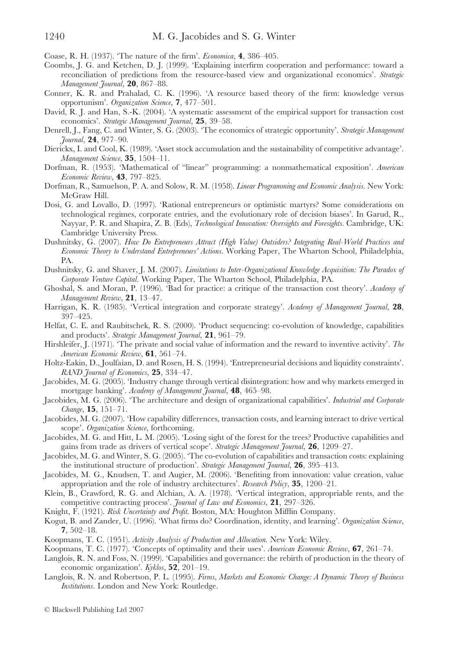Coase, R. H. (1937). 'The nature of the firm'. *Economica*, **4**, 386–405.

- Coombs, J. G. and Ketchen, D. J. (1999). 'Explaining interfirm cooperation and performance: toward a reconciliation of predictions from the resource-based view and organizational economics'. *Strategic Management Journal*, **20**, 867–88.
- Conner, K. R. and Prahalad, C. K. (1996). 'A resource based theory of the firm: knowledge versus opportunism'. *Organization Science*, **7**, 477–501.
- David, R. J. and Han, S.-K. (2004). 'A systematic assessment of the empirical support for transaction cost economics'. *Strategic Management Journal*, **25**, 39–58.
- Denrell, J., Fang, C. and Winter, S. G. (2003). 'The economics of strategic opportunity'. *Strategic Management Journal*, **24**, 977–90.
- Dierickx, I. and Cool, K. (1989). 'Asset stock accumulation and the sustainability of competitive advantage'. *Management Science*, **35**, 1504–11.
- Dorfman, R. (1953). 'Mathematical of "linear" programming: a nonmathematical exposition'. *American Economic Review*, **43**, 797–825.
- Dorfman, R., Samuelson, P. A. and Solow, R. M. (1958). *Linear Programming and Economic Analysis*. New York: McGraw Hill.
- Dosi, G. and Lovallo, D. (1997). 'Rational entrepreneurs or optimistic martyrs? Some considerations on technological regimes, corporate entries, and the evolutionary role of decision biases'. In Garud, R., Nayyar, P. R. and Shapira, Z. B. (Eds), *Technological Innovation: Oversights and Foresights*. Cambridge, UK: Cambridge University Press.
- Dushnitsky, G. (2007). *How Do Entrepreneurs Attract (High Value) Outsiders? Integrating Real-World Practices and Economic Theory to Understand Entrepreneurs' Actions*. Working Paper, The Wharton School, Philadelphia, PA.
- Dushnitsky, G. and Shaver, J. M. (2007). *Limitations to Inter-Organizational Knowledge Acquisition: The Paradox of Corporate Venture Capital*. Working Paper, The Wharton School, Philadelphia, PA.
- Ghoshal, S. and Moran, P. (1996). 'Bad for practice: a critique of the transaction cost theory'. *Academy of Management Review*, **21**, 13–47.
- Harrigan, K. R. (1985). 'Vertical integration and corporate strategy'. *Academy of Management Journal*, **28**, 397–425.
- Helfat, C. E. and Raubitschek, R. S. (2000). 'Product sequencing: co-evolution of knowledge, capabilities and products'. *Strategic Management Journal*, **21**, 961–79.
- Hirshleifer, J. (1971). 'The private and social value of information and the reward to inventive activity'. *The American Economic Review*, **61**, 561–74.
- Holtz-Eakin, D., Joulfaian, D. and Rosen, H. S. (1994). 'Entrepreneurial decisions and liquidity constraints'. *RAND Journal of Economics*, **25**, 334–47.
- Jacobides, M. G. (2005). 'Industry change through vertical disintegration: how and why markets emerged in mortgage banking'. *Academy of Management Journal*, **48**, 465–98.
- Jacobides, M. G. (2006). 'The architecture and design of organizational capabilities'. *Industrial and Corporate Change*, **15**, 151–71.
- Jacobides, M. G. (2007). 'How capability differences, transaction costs, and learning interact to drive vertical scope'. *Organization Science*, forthcoming.
- Jacobides, M. G. and Hitt, L. M. (2005). 'Losing sight of the forest for the trees? Productive capabilities and gains from trade as drivers of vertical scope'. *Strategic Management Journal*, **26**, 1209–27.
- Jacobides, M. G. and Winter, S. G. (2005). 'The co-evolution of capabilities and transaction costs: explaining the institutional structure of production'. *Strategic Management Journal*, **26**, 395–413.
- Jacobides, M. G., Knudsen, T. and Augier, M. (2006). 'Benefiting from innovation: value creation, value appropriation and the role of industry architectures'. *Research Policy*, **35**, 1200–21.
- Klein, B., Crawford, R. G. and Alchian, A. A. (1978). 'Vertical integration, appropriable rents, and the competitive contracting process'. *Journal of Law and Economics*, **21**, 297–326.
- Knight, F. (1921). *Risk Uncertainty and Profit*. Boston, MA: Houghton Mifflin Company.
- Kogut, B. and Zander, U. (1996). 'What firms do? Coordination, identity, and learning'. *Organization Science*, **7**, 502–18.
- Koopmans, T. C. (1951). *Activity Analysis of Production and Allocation*. New York: Wiley.
- Koopmans, T. C. (1977). 'Concepts of optimality and their uses'. *American Economic Review*, **67**, 261–74.
- Langlois, R. N. and Foss, N. (1999). 'Capabilities and governance: the rebirth of production in the theory of economic organization'. *Kyklos*, **52**, 201–19.
- Langlois, R. N. and Robertson, P. L. (1995). *Firms, Markets and Economic Change: A Dynamic Theory of Business Institutions*. London and New York: Routledge.